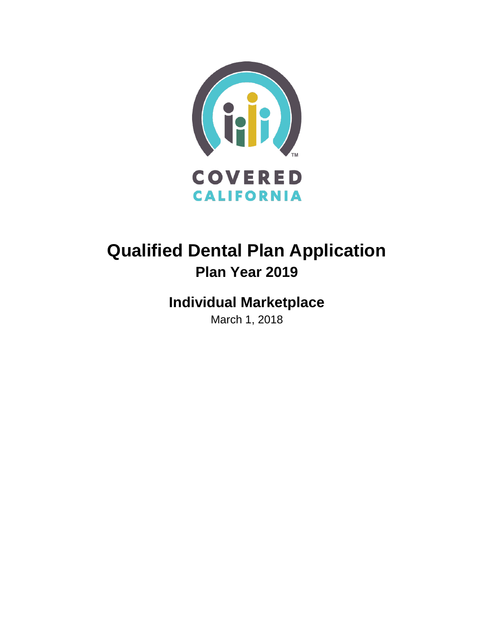

# **Qualified Dental Plan Application Plan Year 2019**

# **Individual Marketplace**

March 1, 2018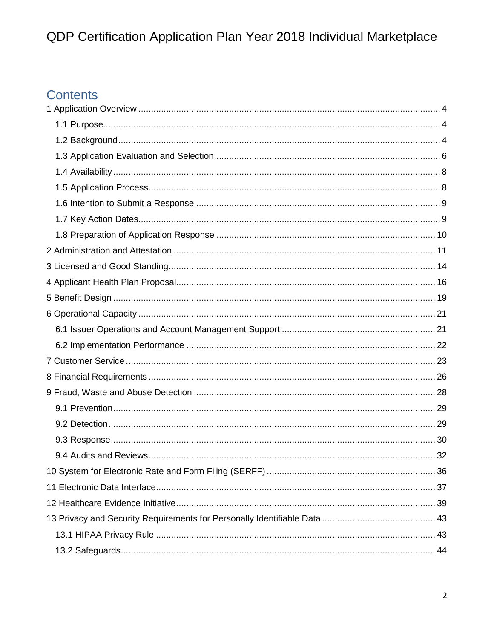# Contents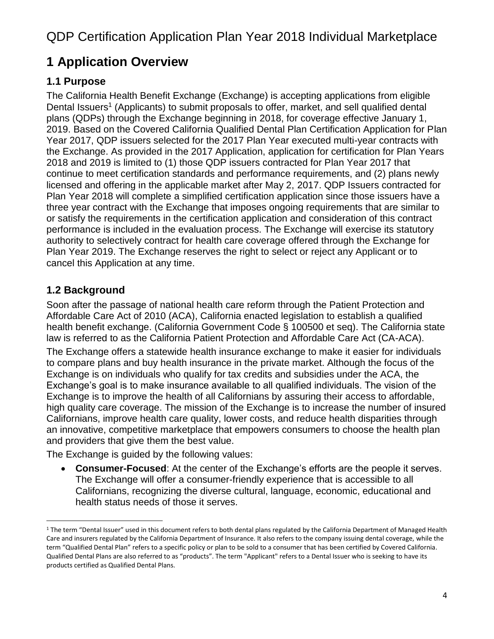# <span id="page-3-0"></span>**1 Application Overview**

### <span id="page-3-1"></span>**1.1 Purpose**

The California Health Benefit Exchange (Exchange) is accepting applications from eligible Dental Issuers<sup>1</sup> (Applicants) to submit proposals to offer, market, and sell qualified dental plans (QDPs) through the Exchange beginning in 2018, for coverage effective January 1, 2019. Based on the Covered California Qualified Dental Plan Certification Application for Plan Year 2017, QDP issuers selected for the 2017 Plan Year executed multi-year contracts with the Exchange. As provided in the 2017 Application, application for certification for Plan Years 2018 and 2019 is limited to (1) those QDP issuers contracted for Plan Year 2017 that continue to meet certification standards and performance requirements, and (2) plans newly licensed and offering in the applicable market after May 2, 2017. QDP Issuers contracted for Plan Year 2018 will complete a simplified certification application since those issuers have a three year contract with the Exchange that imposes ongoing requirements that are similar to or satisfy the requirements in the certification application and consideration of this contract performance is included in the evaluation process. The Exchange will exercise its statutory authority to selectively contract for health care coverage offered through the Exchange for Plan Year 2019. The Exchange reserves the right to select or reject any Applicant or to cancel this Application at any time.

### <span id="page-3-2"></span>**1.2 Background**

Soon after the passage of national health care reform through the Patient Protection and Affordable Care Act of 2010 (ACA), California enacted legislation to establish a qualified health benefit exchange. (California Government Code § 100500 et seq). The California state law is referred to as the California Patient Protection and Affordable Care Act (CA-ACA).

The Exchange offers a statewide health insurance exchange to make it easier for individuals to compare plans and buy health insurance in the private market. Although the focus of the Exchange is on individuals who qualify for tax credits and subsidies under the ACA, the Exchange's goal is to make insurance available to all qualified individuals. The vision of the Exchange is to improve the health of all Californians by assuring their access to affordable, high quality care coverage. The mission of the Exchange is to increase the number of insured Californians, improve health care quality, lower costs, and reduce health disparities through an innovative, competitive marketplace that empowers consumers to choose the health plan and providers that give them the best value.

The Exchange is guided by the following values:

• **Consumer-Focused**: At the center of the Exchange's efforts are the people it serves. The Exchange will offer a consumer-friendly experience that is accessible to all Californians, recognizing the diverse cultural, language, economic, educational and health status needs of those it serves.

 $\overline{a}$  $1$  The term "Dental Issuer" used in this document refers to both dental plans regulated by the California Department of Managed Health Care and insurers regulated by the California Department of Insurance. It also refers to the company issuing dental coverage, while the term "Qualified Dental Plan" refers to a specific policy or plan to be sold to a consumer that has been certified by Covered California. Qualified Dental Plans are also referred to as "products". The term "Applicant" refers to a Dental Issuer who is seeking to have its products certified as Qualified Dental Plans.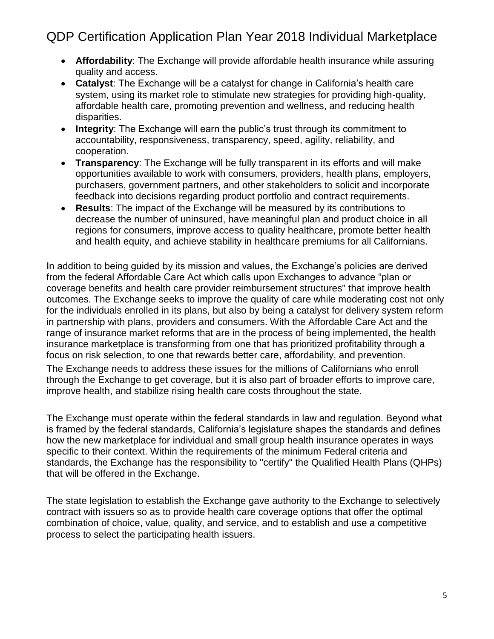- **Affordability**: The Exchange will provide affordable health insurance while assuring quality and access.
- **Catalyst**: The Exchange will be a catalyst for change in California's health care system, using its market role to stimulate new strategies for providing high-quality, affordable health care, promoting prevention and wellness, and reducing health disparities.
- **Integrity**: The Exchange will earn the public's trust through its commitment to accountability, responsiveness, transparency, speed, agility, reliability, and cooperation.
- **Transparency**: The Exchange will be fully transparent in its efforts and will make opportunities available to work with consumers, providers, health plans, employers, purchasers, government partners, and other stakeholders to solicit and incorporate feedback into decisions regarding product portfolio and contract requirements.
- **Results**: The impact of the Exchange will be measured by its contributions to decrease the number of uninsured, have meaningful plan and product choice in all regions for consumers, improve access to quality healthcare, promote better health and health equity, and achieve stability in healthcare premiums for all Californians.

In addition to being guided by its mission and values, the Exchange's policies are derived from the federal Affordable Care Act which calls upon Exchanges to advance "plan or coverage benefits and health care provider reimbursement structures" that improve health outcomes. The Exchange seeks to improve the quality of care while moderating cost not only for the individuals enrolled in its plans, but also by being a catalyst for delivery system reform in partnership with plans, providers and consumers. With the Affordable Care Act and the range of insurance market reforms that are in the process of being implemented, the health insurance marketplace is transforming from one that has prioritized profitability through a focus on risk selection, to one that rewards better care, affordability, and prevention.

The Exchange needs to address these issues for the millions of Californians who enroll through the Exchange to get coverage, but it is also part of broader efforts to improve care, improve health, and stabilize rising health care costs throughout the state.

The Exchange must operate within the federal standards in law and regulation. Beyond what is framed by the federal standards, California's legislature shapes the standards and defines how the new marketplace for individual and small group health insurance operates in ways specific to their context. Within the requirements of the minimum Federal criteria and standards, the Exchange has the responsibility to "certify" the Qualified Health Plans (QHPs) that will be offered in the Exchange.

The state legislation to establish the Exchange gave authority to the Exchange to selectively contract with issuers so as to provide health care coverage options that offer the optimal combination of choice, value, quality, and service, and to establish and use a competitive process to select the participating health issuers.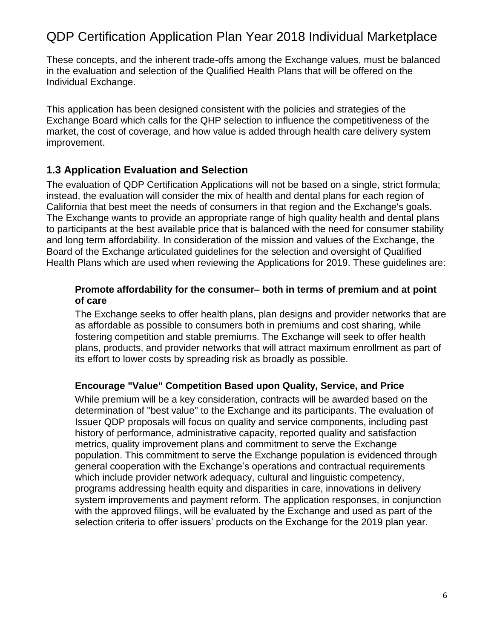These concepts, and the inherent trade-offs among the Exchange values, must be balanced in the evaluation and selection of the Qualified Health Plans that will be offered on the Individual Exchange.

This application has been designed consistent with the policies and strategies of the Exchange Board which calls for the QHP selection to influence the competitiveness of the market, the cost of coverage, and how value is added through health care delivery system improvement.

### <span id="page-5-0"></span>**1.3 Application Evaluation and Selection**

The evaluation of QDP Certification Applications will not be based on a single, strict formula; instead, the evaluation will consider the mix of health and dental plans for each region of California that best meet the needs of consumers in that region and the Exchange's goals. The Exchange wants to provide an appropriate range of high quality health and dental plans to participants at the best available price that is balanced with the need for consumer stability and long term affordability. In consideration of the mission and values of the Exchange, the Board of the Exchange articulated guidelines for the selection and oversight of Qualified Health Plans which are used when reviewing the Applications for 2019. These guidelines are:

### **Promote affordability for the consumer– both in terms of premium and at point of care**

The Exchange seeks to offer health plans, plan designs and provider networks that are as affordable as possible to consumers both in premiums and cost sharing, while fostering competition and stable premiums. The Exchange will seek to offer health plans, products, and provider networks that will attract maximum enrollment as part of its effort to lower costs by spreading risk as broadly as possible.

### **Encourage "Value" Competition Based upon Quality, Service, and Price**

While premium will be a key consideration, contracts will be awarded based on the determination of "best value" to the Exchange and its participants. The evaluation of Issuer QDP proposals will focus on quality and service components, including past history of performance, administrative capacity, reported quality and satisfaction metrics, quality improvement plans and commitment to serve the Exchange population. This commitment to serve the Exchange population is evidenced through general cooperation with the Exchange's operations and contractual requirements which include provider network adequacy, cultural and linguistic competency, programs addressing health equity and disparities in care, innovations in delivery system improvements and payment reform. The application responses, in conjunction with the approved filings, will be evaluated by the Exchange and used as part of the selection criteria to offer issuers' products on the Exchange for the 2019 plan year.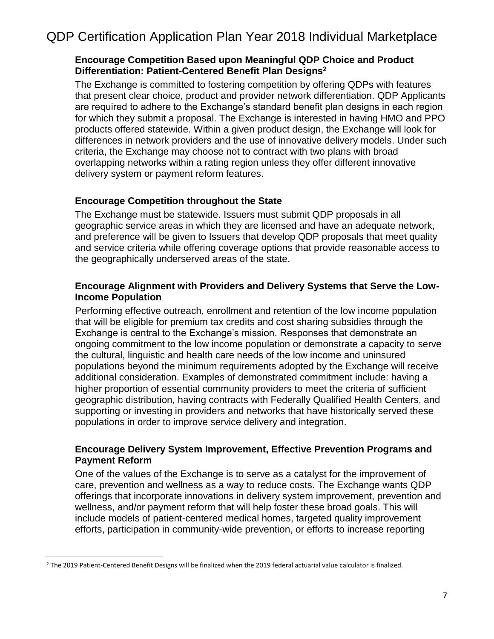### **Encourage Competition Based upon Meaningful QDP Choice and Product Differentiation: Patient-Centered Benefit Plan Designs<sup>2</sup>**

The Exchange is committed to fostering competition by offering QDPs with features that present clear choice, product and provider network differentiation. QDP Applicants are required to adhere to the Exchange's standard benefit plan designs in each region for which they submit a proposal. The Exchange is interested in having HMO and PPO products offered statewide. Within a given product design, the Exchange will look for differences in network providers and the use of innovative delivery models. Under such criteria, the Exchange may choose not to contract with two plans with broad overlapping networks within a rating region unless they offer different innovative delivery system or payment reform features.

### **Encourage Competition throughout the State**

The Exchange must be statewide. Issuers must submit QDP proposals in all geographic service areas in which they are licensed and have an adequate network, and preference will be given to Issuers that develop QDP proposals that meet quality and service criteria while offering coverage options that provide reasonable access to the geographically underserved areas of the state.

### **Encourage Alignment with Providers and Delivery Systems that Serve the Low-Income Population**

Performing effective outreach, enrollment and retention of the low income population that will be eligible for premium tax credits and cost sharing subsidies through the Exchange is central to the Exchange's mission. Responses that demonstrate an ongoing commitment to the low income population or demonstrate a capacity to serve the cultural, linguistic and health care needs of the low income and uninsured populations beyond the minimum requirements adopted by the Exchange will receive additional consideration. Examples of demonstrated commitment include: having a higher proportion of essential community providers to meet the criteria of sufficient geographic distribution, having contracts with Federally Qualified Health Centers, and supporting or investing in providers and networks that have historically served these populations in order to improve service delivery and integration.

### **Encourage Delivery System Improvement, Effective Prevention Programs and Payment Reform**

One of the values of the Exchange is to serve as a catalyst for the improvement of care, prevention and wellness as a way to reduce costs. The Exchange wants QDP offerings that incorporate innovations in delivery system improvement, prevention and wellness, and/or payment reform that will help foster these broad goals. This will include models of patient-centered medical homes, targeted quality improvement efforts, participation in community-wide prevention, or efforts to increase reporting

 $\overline{a}$ 

<sup>&</sup>lt;sup>2</sup> The 2019 Patient-Centered Benefit Designs will be finalized when the 2019 federal actuarial value calculator is finalized.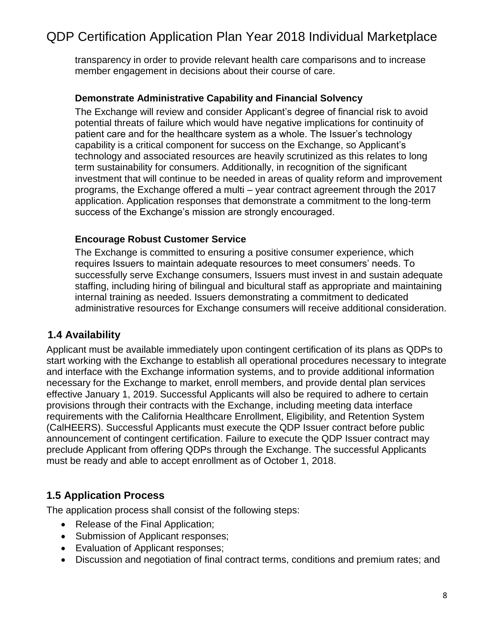transparency in order to provide relevant health care comparisons and to increase member engagement in decisions about their course of care.

### **Demonstrate Administrative Capability and Financial Solvency**

The Exchange will review and consider Applicant's degree of financial risk to avoid potential threats of failure which would have negative implications for continuity of patient care and for the healthcare system as a whole. The Issuer's technology capability is a critical component for success on the Exchange, so Applicant's technology and associated resources are heavily scrutinized as this relates to long term sustainability for consumers. Additionally, in recognition of the significant investment that will continue to be needed in areas of quality reform and improvement programs, the Exchange offered a multi – year contract agreement through the 2017 application. Application responses that demonstrate a commitment to the long-term success of the Exchange's mission are strongly encouraged.

#### **Encourage Robust Customer Service**

The Exchange is committed to ensuring a positive consumer experience, which requires Issuers to maintain adequate resources to meet consumers' needs. To successfully serve Exchange consumers, Issuers must invest in and sustain adequate staffing, including hiring of bilingual and bicultural staff as appropriate and maintaining internal training as needed. Issuers demonstrating a commitment to dedicated administrative resources for Exchange consumers will receive additional consideration.

### <span id="page-7-0"></span>**1.4 Availability**

Applicant must be available immediately upon contingent certification of its plans as QDPs to start working with the Exchange to establish all operational procedures necessary to integrate and interface with the Exchange information systems, and to provide additional information necessary for the Exchange to market, enroll members, and provide dental plan services effective January 1, 2019. Successful Applicants will also be required to adhere to certain provisions through their contracts with the Exchange, including meeting data interface requirements with the California Healthcare Enrollment, Eligibility, and Retention System (CalHEERS). Successful Applicants must execute the QDP Issuer contract before public announcement of contingent certification. Failure to execute the QDP Issuer contract may preclude Applicant from offering QDPs through the Exchange. The successful Applicants must be ready and able to accept enrollment as of October 1, 2018.

### <span id="page-7-1"></span>**1.5 Application Process**

The application process shall consist of the following steps:

- Release of the Final Application;
- Submission of Applicant responses;
- Evaluation of Applicant responses;
- Discussion and negotiation of final contract terms, conditions and premium rates; and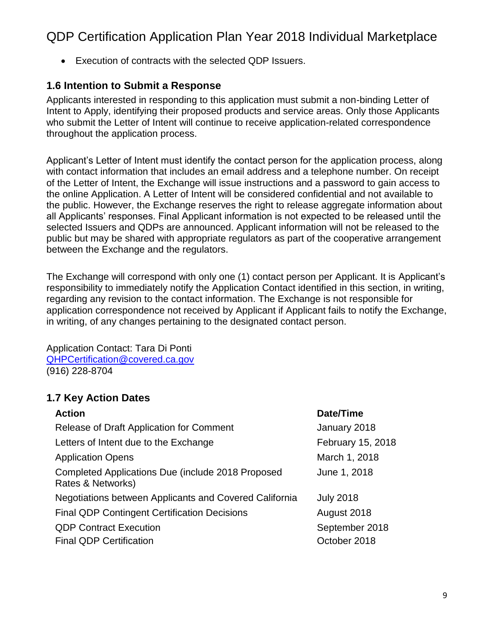• Execution of contracts with the selected QDP Issuers.

### <span id="page-8-0"></span>**1.6 Intention to Submit a Response**

Applicants interested in responding to this application must submit a non-binding Letter of Intent to Apply, identifying their proposed products and service areas. Only those Applicants who submit the Letter of Intent will continue to receive application-related correspondence throughout the application process.

Applicant's Letter of Intent must identify the contact person for the application process, along with contact information that includes an email address and a telephone number. On receipt of the Letter of Intent, the Exchange will issue instructions and a password to gain access to the online Application. A Letter of Intent will be considered confidential and not available to the public. However, the Exchange reserves the right to release aggregate information about all Applicants' responses. Final Applicant information is not expected to be released until the selected Issuers and QDPs are announced. Applicant information will not be released to the public but may be shared with appropriate regulators as part of the cooperative arrangement between the Exchange and the regulators.

The Exchange will correspond with only one (1) contact person per Applicant. It is Applicant's responsibility to immediately notify the Application Contact identified in this section, in writing, regarding any revision to the contact information. The Exchange is not responsible for application correspondence not received by Applicant if Applicant fails to notify the Exchange, in writing, of any changes pertaining to the designated contact person.

Application Contact: Tara Di Ponti [QHPCertification@covered.ca.gov](mailto:Taylor.Priestley@covered.ca.gov) (916) 228-8704

### <span id="page-8-1"></span>**1.7 Key Action Dates**

| <b>Action</b>                                                          | Date/Time         |
|------------------------------------------------------------------------|-------------------|
| Release of Draft Application for Comment                               | January 2018      |
| Letters of Intent due to the Exchange                                  | February 15, 2018 |
| <b>Application Opens</b>                                               | March 1, 2018     |
| Completed Applications Due (include 2018 Proposed<br>Rates & Networks) | June 1, 2018      |
| Negotiations between Applicants and Covered California                 | <b>July 2018</b>  |
| <b>Final QDP Contingent Certification Decisions</b>                    | August 2018       |
| <b>QDP Contract Execution</b>                                          | September 2018    |
| <b>Final QDP Certification</b>                                         | October 2018      |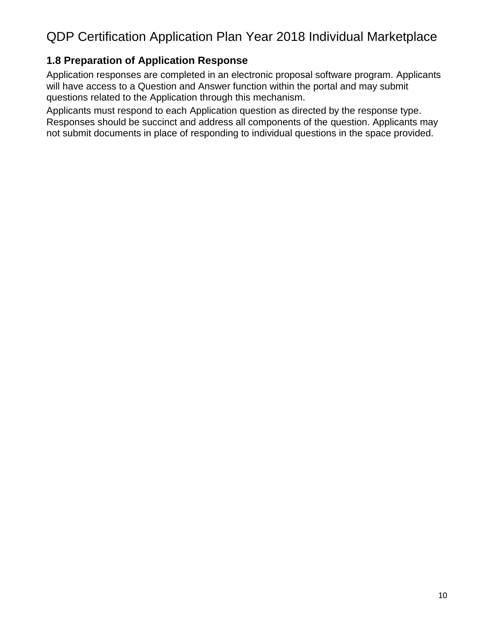### <span id="page-9-0"></span>**1.8 Preparation of Application Response**

Application responses are completed in an electronic proposal software program. Applicants will have access to a Question and Answer function within the portal and may submit questions related to the Application through this mechanism.

Applicants must respond to each Application question as directed by the response type. Responses should be succinct and address all components of the question. Applicants may not submit documents in place of responding to individual questions in the space provided.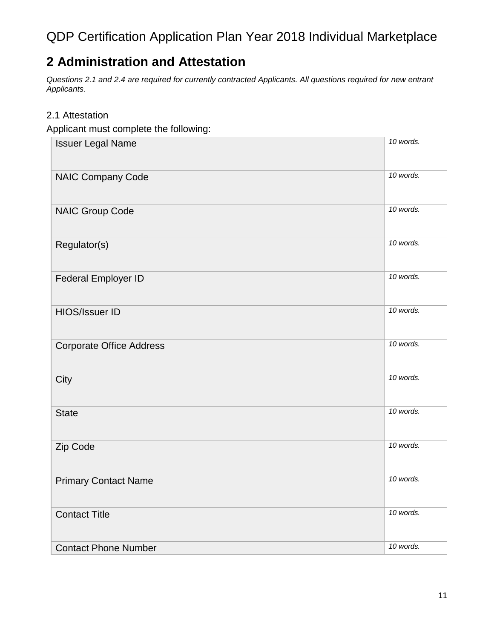## <span id="page-10-0"></span>**2 Administration and Attestation**

*Questions 2.1 and 2.4 are required for currently contracted Applicants. All questions required for new entrant Applicants.*

### 2.1 Attestation

Applicant must complete the following:

| <b>Issuer Legal Name</b>        | 10 words. |
|---------------------------------|-----------|
| <b>NAIC Company Code</b>        | 10 words. |
| <b>NAIC Group Code</b>          | 10 words. |
| Regulator(s)                    | 10 words. |
| Federal Employer ID             | 10 words. |
| HIOS/Issuer ID                  | 10 words. |
| <b>Corporate Office Address</b> | 10 words. |
| City                            | 10 words. |
| <b>State</b>                    | 10 words. |
| Zip Code                        | 10 words. |
| <b>Primary Contact Name</b>     | 10 words. |
| <b>Contact Title</b>            | 10 words. |
| <b>Contact Phone Number</b>     | 10 words. |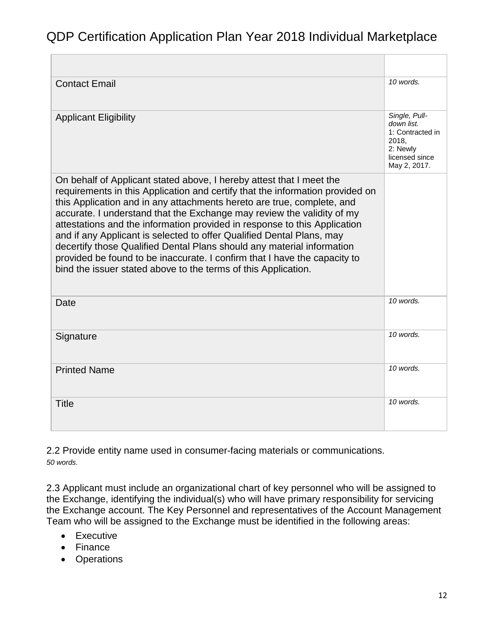| <b>Contact Email</b>                                                                                                                                                                                                                                                                                                                                                                                                                                                                                                                                                                                                                                                                     | 10 words.                                                                                              |
|------------------------------------------------------------------------------------------------------------------------------------------------------------------------------------------------------------------------------------------------------------------------------------------------------------------------------------------------------------------------------------------------------------------------------------------------------------------------------------------------------------------------------------------------------------------------------------------------------------------------------------------------------------------------------------------|--------------------------------------------------------------------------------------------------------|
| <b>Applicant Eligibility</b>                                                                                                                                                                                                                                                                                                                                                                                                                                                                                                                                                                                                                                                             | Single, Pull-<br>down list.<br>1: Contracted in<br>2018,<br>2: Newly<br>licensed since<br>May 2, 2017. |
| On behalf of Applicant stated above, I hereby attest that I meet the<br>requirements in this Application and certify that the information provided on<br>this Application and in any attachments hereto are true, complete, and<br>accurate. I understand that the Exchange may review the validity of my<br>attestations and the information provided in response to this Application<br>and if any Applicant is selected to offer Qualified Dental Plans, may<br>decertify those Qualified Dental Plans should any material information<br>provided be found to be inaccurate. I confirm that I have the capacity to<br>bind the issuer stated above to the terms of this Application. |                                                                                                        |
| Date                                                                                                                                                                                                                                                                                                                                                                                                                                                                                                                                                                                                                                                                                     | 10 words.                                                                                              |
| Signature                                                                                                                                                                                                                                                                                                                                                                                                                                                                                                                                                                                                                                                                                | 10 words.                                                                                              |
| <b>Printed Name</b>                                                                                                                                                                                                                                                                                                                                                                                                                                                                                                                                                                                                                                                                      | 10 words.                                                                                              |
| <b>Title</b>                                                                                                                                                                                                                                                                                                                                                                                                                                                                                                                                                                                                                                                                             | $10$ words.                                                                                            |

2.2 Provide entity name used in consumer-facing materials or communications. *50 words.*

2.3 Applicant must include an organizational chart of key personnel who will be assigned to the Exchange, identifying the individual(s) who will have primary responsibility for servicing the Exchange account. The Key Personnel and representatives of the Account Management Team who will be assigned to the Exchange must be identified in the following areas:

- Executive
- Finance
- Operations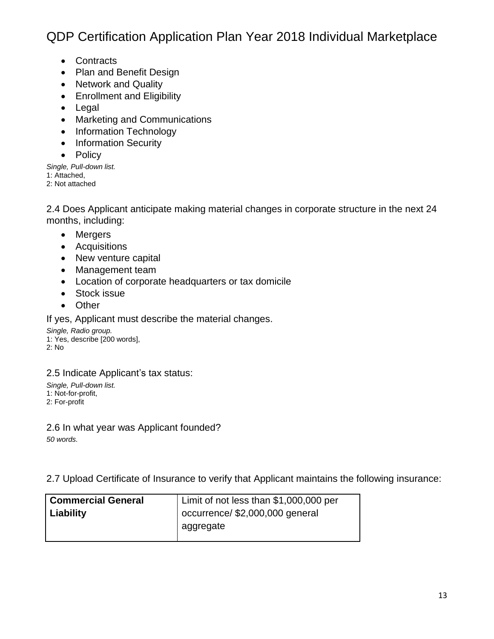- Contracts
- Plan and Benefit Design
- Network and Quality
- Enrollment and Eligibility
- Legal
- Marketing and Communications
- Information Technology
- Information Security
- Policy

*Single, Pull-down list.* 1: Attached, 2: Not attached

2.4 Does Applicant anticipate making material changes in corporate structure in the next 24 months, including:

- Mergers
- Acquisitions
- New venture capital
- Management team
- Location of corporate headquarters or tax domicile
- Stock issue
- Other

If yes, Applicant must describe the material changes.

*Single, Radio group.* 1: Yes, describe [200 words], 2: No

2.5 Indicate Applicant's tax status:

*Single, Pull-down list.* 1: Not-for-profit, 2: For-profit

2.6 In what year was Applicant founded? *50 words.*

2.7 Upload Certificate of Insurance to verify that Applicant maintains the following insurance:

| <b>Commercial General</b> | Limit of not less than \$1,000,000 per |  |
|---------------------------|----------------------------------------|--|
| Liability                 | l occurrence/ \$2,000,000 general      |  |
|                           | aggregate                              |  |
|                           |                                        |  |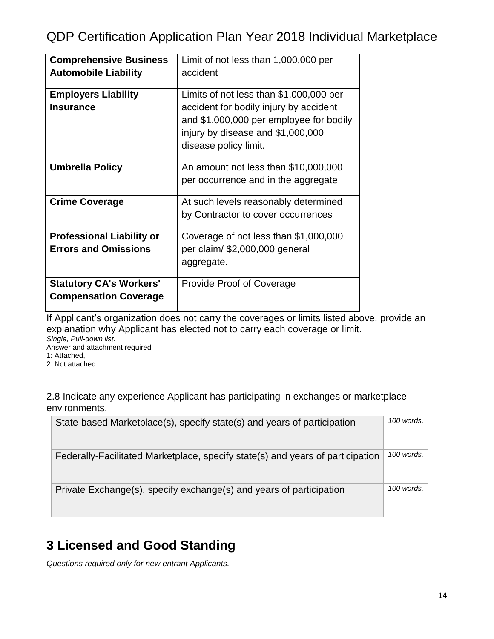| <b>Comprehensive Business</b><br><b>Automobile Liability</b> | Limit of not less than 1,000,000 per<br>accident                                                                                                                                           |  |  |
|--------------------------------------------------------------|--------------------------------------------------------------------------------------------------------------------------------------------------------------------------------------------|--|--|
|                                                              |                                                                                                                                                                                            |  |  |
| <b>Employers Liability</b><br><b>Insurance</b>               | Limits of not less than \$1,000,000 per<br>accident for bodily injury by accident<br>and \$1,000,000 per employee for bodily<br>injury by disease and \$1,000,000<br>disease policy limit. |  |  |
| <b>Umbrella Policy</b>                                       | An amount not less than \$10,000,000<br>per occurrence and in the aggregate                                                                                                                |  |  |
| <b>Crime Coverage</b>                                        | At such levels reasonably determined                                                                                                                                                       |  |  |
|                                                              | by Contractor to cover occurrences                                                                                                                                                         |  |  |
| <b>Professional Liability or</b>                             | Coverage of not less than \$1,000,000                                                                                                                                                      |  |  |
| <b>Errors and Omissions</b>                                  | per claim/ \$2,000,000 general                                                                                                                                                             |  |  |
|                                                              | aggregate.                                                                                                                                                                                 |  |  |
| <b>Statutory CA's Workers'</b>                               | <b>Provide Proof of Coverage</b>                                                                                                                                                           |  |  |
| <b>Compensation Coverage</b>                                 |                                                                                                                                                                                            |  |  |

Letter and the coverages or limits listed above, provide an If Applicant's organization does not carry the coverages or limits listed above, provide an explanation why Applicant has elected not to carry each coverage or limit. *Single, Pull-down list.*

Answer and attachment required

1: Attached,

2: Not attached

2.8 Indicate any experience Applicant has participating in exchanges or marketplace environments.

| State-based Marketplace(s), specify state(s) and years of participation        | 100 words. $\vert$ |
|--------------------------------------------------------------------------------|--------------------|
| Federally-Facilitated Marketplace, specify state(s) and years of participation | 100 words.         |
| Private Exchange(s), specify exchange(s) and years of participation            | 100 words.         |

# <span id="page-13-0"></span>**3 Licensed and Good Standing**

*Questions required only for new entrant Applicants.*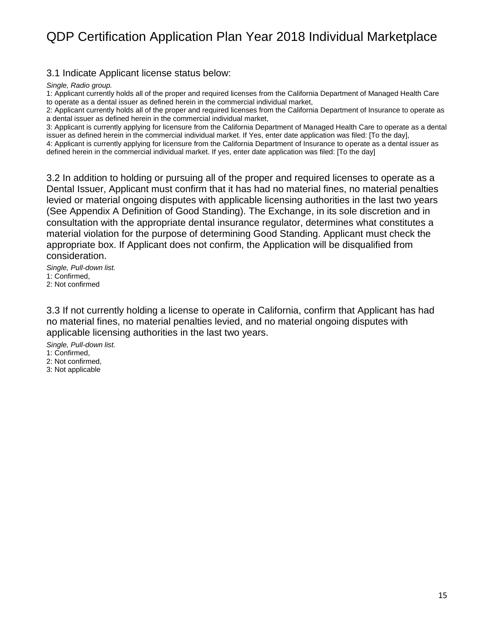3.1 Indicate Applicant license status below:

*Single, Radio group.*

1: Applicant currently holds all of the proper and required licenses from the California Department of Managed Health Care to operate as a dental issuer as defined herein in the commercial individual market,

2: Applicant currently holds all of the proper and required licenses from the California Department of Insurance to operate as a dental issuer as defined herein in the commercial individual market,

3: Applicant is currently applying for licensure from the California Department of Managed Health Care to operate as a dental issuer as defined herein in the commercial individual market. If Yes, enter date application was filed: [To the day], 4: Applicant is currently applying for licensure from the California Department of Insurance to operate as a dental issuer as

defined herein in the commercial individual market. If yes, enter date application was filed: [To the day]

3.2 In addition to holding or pursuing all of the proper and required licenses to operate as a Dental Issuer, Applicant must confirm that it has had no material fines, no material penalties levied or material ongoing disputes with applicable licensing authorities in the last two years (See Appendix A Definition of Good Standing). The Exchange, in its sole discretion and in consultation with the appropriate dental insurance regulator, determines what constitutes a material violation for the purpose of determining Good Standing. Applicant must check the appropriate box. If Applicant does not confirm, the Application will be disqualified from consideration.

*Single, Pull-down list.* 1: Confirmed, 2: Not confirmed

3.3 If not currently holding a license to operate in California, confirm that Applicant has had no material fines, no material penalties levied, and no material ongoing disputes with applicable licensing authorities in the last two years.

*Single, Pull-down list.* 1: Confirmed,

2: Not confirmed, 3: Not applicable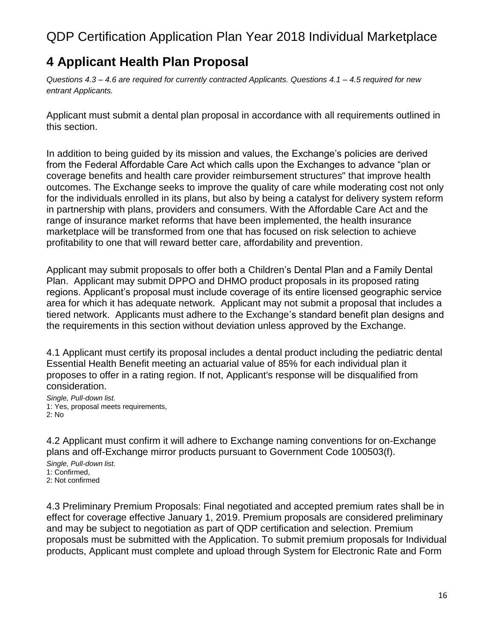## <span id="page-15-0"></span>**4 Applicant Health Plan Proposal**

*Questions 4.3 – 4.6 are required for currently contracted Applicants. Questions 4.1 – 4.5 required for new entrant Applicants.*

Applicant must submit a dental plan proposal in accordance with all requirements outlined in this section.

In addition to being guided by its mission and values, the Exchange's policies are derived from the Federal Affordable Care Act which calls upon the Exchanges to advance "plan or coverage benefits and health care provider reimbursement structures" that improve health outcomes. The Exchange seeks to improve the quality of care while moderating cost not only for the individuals enrolled in its plans, but also by being a catalyst for delivery system reform in partnership with plans, providers and consumers. With the Affordable Care Act and the range of insurance market reforms that have been implemented, the health insurance marketplace will be transformed from one that has focused on risk selection to achieve profitability to one that will reward better care, affordability and prevention.

Applicant may submit proposals to offer both a Children's Dental Plan and a Family Dental Plan. Applicant may submit DPPO and DHMO product proposals in its proposed rating regions. Applicant's proposal must include coverage of its entire licensed geographic service area for which it has adequate network. Applicant may not submit a proposal that includes a tiered network. Applicants must adhere to the Exchange's standard benefit plan designs and the requirements in this section without deviation unless approved by the Exchange.

4.1 Applicant must certify its proposal includes a dental product including the pediatric dental Essential Health Benefit meeting an actuarial value of 85% for each individual plan it proposes to offer in a rating region. If not, Applicant's response will be disqualified from consideration.

*Single, Pull-down list.* 1: Yes, proposal meets requirements, 2: No

4.2 Applicant must confirm it will adhere to Exchange naming conventions for on-Exchange plans and off-Exchange mirror products pursuant to Government Code 100503(f).

*Single, Pull-down list.* 1: Confirmed, 2: Not confirmed

4.3 Preliminary Premium Proposals: Final negotiated and accepted premium rates shall be in effect for coverage effective January 1, 2019. Premium proposals are considered preliminary and may be subject to negotiation as part of QDP certification and selection. Premium proposals must be submitted with the Application. To submit premium proposals for Individual products, Applicant must complete and upload through System for Electronic Rate and Form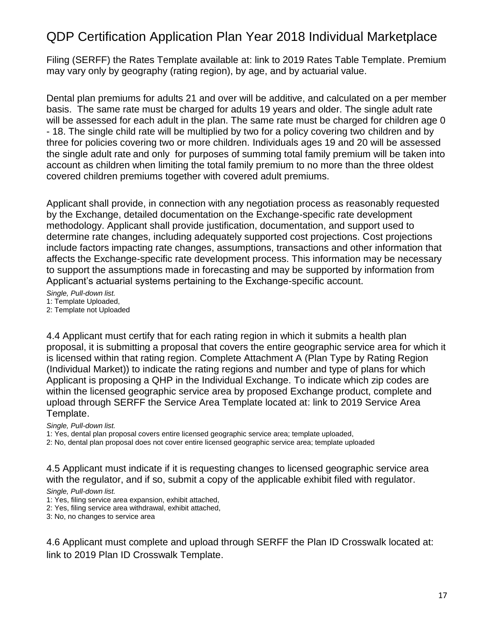Filing (SERFF) the Rates Template available at: link to 2019 Rates Table Template. Premium may vary only by geography (rating region), by age, and by actuarial value.

Dental plan premiums for adults 21 and over will be additive, and calculated on a per member basis. The same rate must be charged for adults 19 years and older. The single adult rate will be assessed for each adult in the plan. The same rate must be charged for children age 0 - 18. The single child rate will be multiplied by two for a policy covering two children and by three for policies covering two or more children. Individuals ages 19 and 20 will be assessed the single adult rate and only for purposes of summing total family premium will be taken into account as children when limiting the total family premium to no more than the three oldest covered children premiums together with covered adult premiums.

Applicant shall provide, in connection with any negotiation process as reasonably requested by the Exchange, detailed documentation on the Exchange-specific rate development methodology. Applicant shall provide justification, documentation, and support used to determine rate changes, including adequately supported cost projections. Cost projections include factors impacting rate changes, assumptions, transactions and other information that affects the Exchange-specific rate development process. This information may be necessary to support the assumptions made in forecasting and may be supported by information from Applicant's actuarial systems pertaining to the Exchange-specific account.

*Single, Pull-down list.* 1: Template Uploaded,

2: Template not Uploaded

4.4 Applicant must certify that for each rating region in which it submits a health plan proposal, it is submitting a proposal that covers the entire geographic service area for which it is licensed within that rating region. Complete Attachment A (Plan Type by Rating Region (Individual Market)) to indicate the rating regions and number and type of plans for which Applicant is proposing a QHP in the Individual Exchange. To indicate which zip codes are within the licensed geographic service area by proposed Exchange product, complete and upload through SERFF the Service Area Template located at: link to 2019 Service Area Template.

*Single, Pull-down list.*

1: Yes, dental plan proposal covers entire licensed geographic service area; template uploaded,

2: No, dental plan proposal does not cover entire licensed geographic service area; template uploaded

4.5 Applicant must indicate if it is requesting changes to licensed geographic service area with the regulator, and if so, submit a copy of the applicable exhibit filed with regulator.

*Single, Pull-down list.*

1: Yes, filing service area expansion, exhibit attached,

2: Yes, filing service area withdrawal, exhibit attached,

3: No, no changes to service area

4.6 Applicant must complete and upload through SERFF the Plan ID Crosswalk located at: link to 2019 Plan ID Crosswalk Template.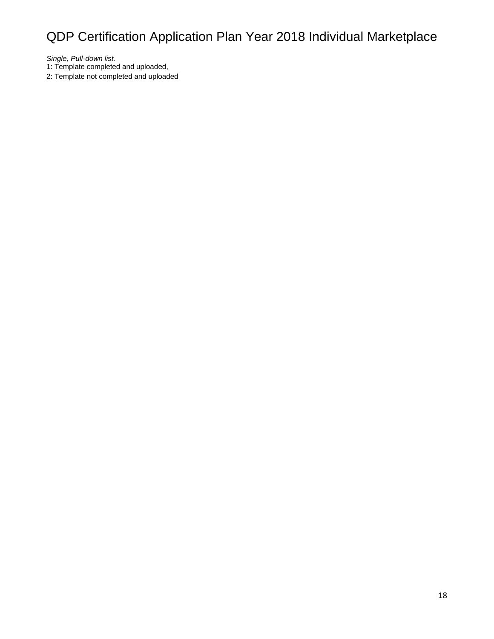*Single, Pull-down list.*

1: Template completed and uploaded,

2: Template not completed and uploaded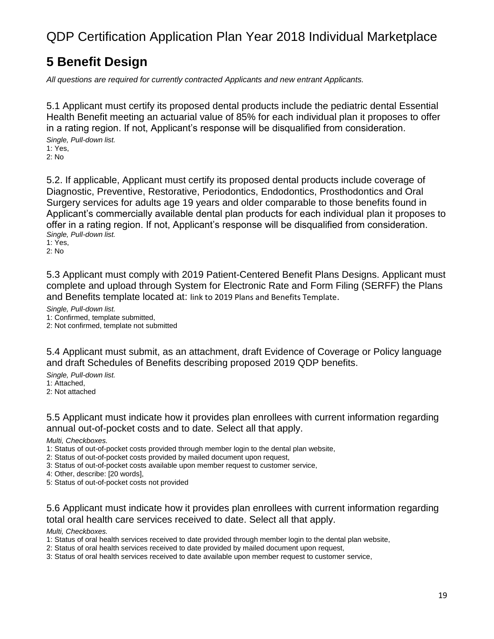### <span id="page-18-0"></span>**5 Benefit Design**

*All questions are required for currently contracted Applicants and new entrant Applicants.*

5.1 Applicant must certify its proposed dental products include the pediatric dental Essential Health Benefit meeting an actuarial value of 85% for each individual plan it proposes to offer in a rating region. If not, Applicant's response will be disqualified from consideration.

*Single, Pull-down list.* 1: Yes, 2: No

5.2. If applicable, Applicant must certify its proposed dental products include coverage of Diagnostic, Preventive, Restorative, Periodontics, Endodontics, Prosthodontics and Oral Surgery services for adults age 19 years and older comparable to those benefits found in Applicant's commercially available dental plan products for each individual plan it proposes to offer in a rating region. If not, Applicant's response will be disqualified from consideration. *Single, Pull-down list.*

1: Yes, 2: No

5.3 Applicant must comply with 2019 Patient-Centered Benefit Plans Designs. Applicant must complete and upload through System for Electronic Rate and Form Filing (SERFF) the Plans and Benefits template located at: link to 2019 Plans and Benefits Template.

*Single, Pull-down list.* 1: Confirmed, template submitted, 2: Not confirmed, template not submitted

5.4 Applicant must submit, as an attachment, draft Evidence of Coverage or Policy language and draft Schedules of Benefits describing proposed 2019 QDP benefits.

*Single, Pull-down list.* 1: Attached, 2: Not attached

5.5 Applicant must indicate how it provides plan enrollees with current information regarding annual out-of-pocket costs and to date. Select all that apply.

*Multi, Checkboxes.*

- 1: Status of out-of-pocket costs provided through member login to the dental plan website,
- 2: Status of out-of-pocket costs provided by mailed document upon request,
- 3: Status of out-of-pocket costs available upon member request to customer service,

4: Other, describe: [20 words],

5: Status of out-of-pocket costs not provided

5.6 Applicant must indicate how it provides plan enrollees with current information regarding total oral health care services received to date. Select all that apply.

#### *Multi, Checkboxes.*

- 1: Status of oral health services received to date provided through member login to the dental plan website,
- 2: Status of oral health services received to date provided by mailed document upon request,
- 3: Status of oral health services received to date available upon member request to customer service,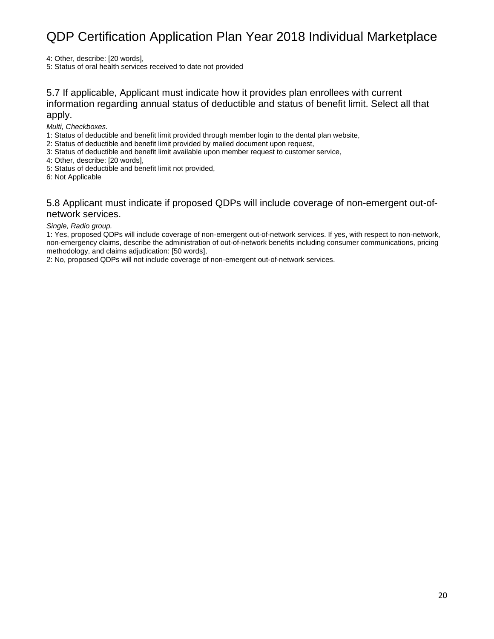4: Other, describe: [20 words],

5: Status of oral health services received to date not provided

#### 5.7 If applicable, Applicant must indicate how it provides plan enrollees with current information regarding annual status of deductible and status of benefit limit. Select all that apply.

*Multi, Checkboxes.*

1: Status of deductible and benefit limit provided through member login to the dental plan website,

2: Status of deductible and benefit limit provided by mailed document upon request,

3: Status of deductible and benefit limit available upon member request to customer service,

- 4: Other, describe: [20 words],
- 5: Status of deductible and benefit limit not provided,
- 6: Not Applicable

#### 5.8 Applicant must indicate if proposed QDPs will include coverage of non-emergent out-ofnetwork services.

#### *Single, Radio group.*

1: Yes, proposed QDPs will include coverage of non-emergent out-of-network services. If yes, with respect to non-network, non-emergency claims, describe the administration of out-of-network benefits including consumer communications, pricing methodology, and claims adjudication: [50 words],

2: No, proposed QDPs will not include coverage of non-emergent out-of-network services.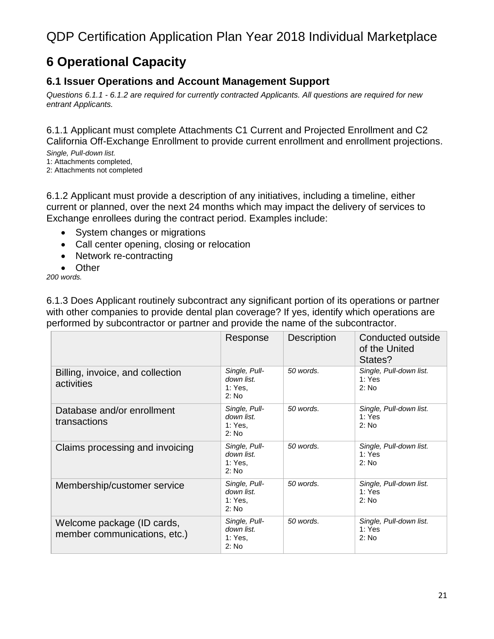## <span id="page-20-0"></span>**6 Operational Capacity**

### <span id="page-20-1"></span>**6.1 Issuer Operations and Account Management Support**

*Questions 6.1.1 - 6.1.2 are required for currently contracted Applicants. All questions are required for new entrant Applicants.*

6.1.1 Applicant must complete Attachments C1 Current and Projected Enrollment and C2 California Off-Exchange Enrollment to provide current enrollment and enrollment projections.

*Single, Pull-down list.* 1: Attachments completed,

2: Attachments not completed

6.1.2 Applicant must provide a description of any initiatives, including a timeline, either current or planned, over the next 24 months which may impact the delivery of services to Exchange enrollees during the contract period. Examples include:

- System changes or migrations
- Call center opening, closing or relocation
- Network re-contracting
- Other

*200 words.*

6.1.3 Does Applicant routinely subcontract any significant portion of its operations or partner with other companies to provide dental plan coverage? If yes, identify which operations are performed by subcontractor or partner and provide the name of the subcontractor.

|                                                            | Response                                        | <b>Description</b> | Conducted outside<br>of the United<br>States? |
|------------------------------------------------------------|-------------------------------------------------|--------------------|-----------------------------------------------|
| Billing, invoice, and collection<br>activities             | Single, Pull-<br>down list.<br>1: Yes.<br>2: No | 50 words.          | Single, Pull-down list.<br>1: Yes<br>2: No    |
| Database and/or enrollment<br>transactions                 | Single, Pull-<br>down list.<br>1: Yes,<br>2: No | 50 words.          | Single, Pull-down list.<br>1: Yes<br>2: No    |
| Claims processing and invoicing                            | Single, Pull-<br>down list.<br>1: Yes.<br>2: No | 50 words.          | Single, Pull-down list.<br>1: Yes<br>2: No    |
| Membership/customer service                                | Single, Pull-<br>down list.<br>1: Yes.<br>2: No | 50 words.          | Single, Pull-down list.<br>1: Yes<br>2: No    |
| Welcome package (ID cards,<br>member communications, etc.) | Single, Pull-<br>down list.<br>1: Yes,<br>2: No | 50 words.          | Single, Pull-down list.<br>1: Yes<br>2: No    |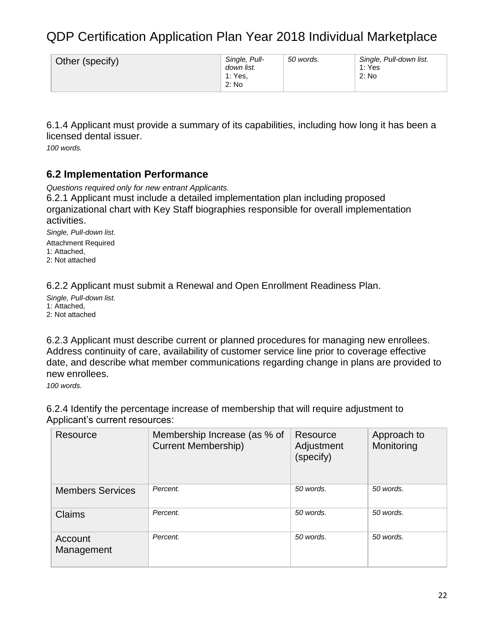| Other (specify) | Single, Pull-<br>down list.<br>1: Yes.<br>2: No | 50 words. | Single, Pull-down list.<br>1: Yes<br>2: No |
|-----------------|-------------------------------------------------|-----------|--------------------------------------------|
|-----------------|-------------------------------------------------|-----------|--------------------------------------------|

6.1.4 Applicant must provide a summary of its capabilities, including how long it has been a licensed dental issuer.

*100 words.*

### <span id="page-21-0"></span>**6.2 Implementation Performance**

*Questions required only for new entrant Applicants.*

6.2.1 Applicant must include a detailed implementation plan including proposed organizational chart with Key Staff biographies responsible for overall implementation activities.

*Single, Pull-down list.* Attachment Required 1: Attached, 2: Not attached

6.2.2 Applicant must submit a Renewal and Open Enrollment Readiness Plan.

*Single, Pull-down list.* 1: Attached, 2: Not attached

6.2.3 Applicant must describe current or planned procedures for managing new enrollees. Address continuity of care, availability of customer service line prior to coverage effective date, and describe what member communications regarding change in plans are provided to new enrollees.

*100 words.*

6.2.4 Identify the percentage increase of membership that will require adjustment to Applicant's current resources:

| <b>Resource</b>         | Membership Increase (as % of<br><b>Current Membership)</b> | Resource<br>Adjustment<br>(specify) | Approach to<br>Monitoring |
|-------------------------|------------------------------------------------------------|-------------------------------------|---------------------------|
| <b>Members Services</b> | Percent.                                                   | 50 words.                           | 50 words.                 |
| <b>Claims</b>           | Percent.                                                   | 50 words.                           | 50 words.                 |
| Account<br>Management   | Percent.                                                   | 50 words.                           | 50 words.                 |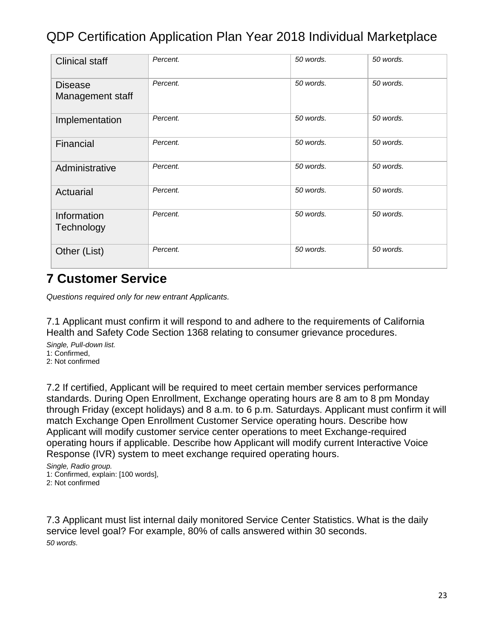| <b>Clinical staff</b>              | Percent. | 50 words. | 50 words. |
|------------------------------------|----------|-----------|-----------|
| <b>Disease</b><br>Management staff | Percent. | 50 words. | 50 words. |
| Implementation                     | Percent. | 50 words. | 50 words. |
| Financial                          | Percent. | 50 words. | 50 words. |
| Administrative                     | Percent. | 50 words. | 50 words. |
| Actuarial                          | Percent. | 50 words. | 50 words. |
| Information<br>Technology          | Percent. | 50 words. | 50 words. |
| Other (List)                       | Percent. | 50 words. | 50 words. |

### <span id="page-22-0"></span>**7 Customer Service**

*Questions required only for new entrant Applicants.*

7.1 Applicant must confirm it will respond to and adhere to the requirements of California Health and Safety Code Section 1368 relating to consumer grievance procedures.

*Single, Pull-down list.* 1: Confirmed, 2: Not confirmed

7.2 If certified, Applicant will be required to meet certain member services performance standards. During Open Enrollment, Exchange operating hours are 8 am to 8 pm Monday through Friday (except holidays) and 8 a.m. to 6 p.m. Saturdays. Applicant must confirm it will match Exchange Open Enrollment Customer Service operating hours. Describe how Applicant will modify customer service center operations to meet Exchange-required operating hours if applicable. Describe how Applicant will modify current Interactive Voice Response (IVR) system to meet exchange required operating hours.

*Single, Radio group.* 1: Confirmed, explain: [100 words], 2: Not confirmed

7.3 Applicant must list internal daily monitored Service Center Statistics. What is the daily service level goal? For example, 80% of calls answered within 30 seconds. *50 words.*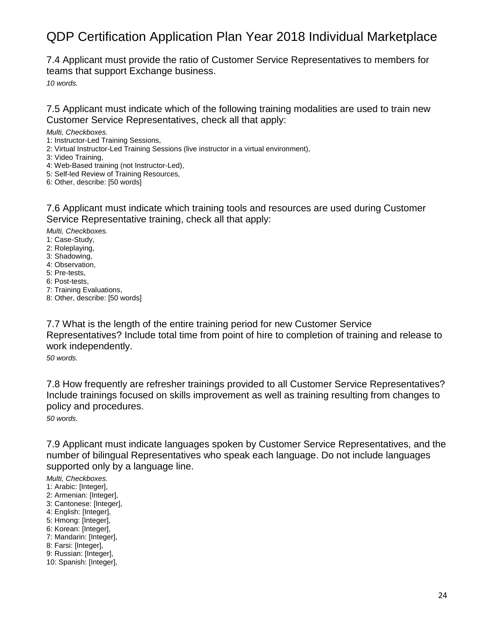7.4 Applicant must provide the ratio of Customer Service Representatives to members for teams that support Exchange business.

*10 words.*

7.5 Applicant must indicate which of the following training modalities are used to train new Customer Service Representatives, check all that apply:

#### *Multi, Checkboxes.*

- 1: Instructor-Led Training Sessions,
- 2: Virtual Instructor-Led Training Sessions (live instructor in a virtual environment),
- 3: Video Training,
- 4: Web-Based training (not Instructor-Led),
- 5: Self-led Review of Training Resources,
- 6: Other, describe: [50 words]

7.6 Applicant must indicate which training tools and resources are used during Customer Service Representative training, check all that apply:

*Multi, Checkboxes.*

- 1: Case-Study,
- 2: Roleplaying,
- 3: Shadowing,
- 4: Observation,
- 5: Pre-tests,
- 6: Post-tests,
- 7: Training Evaluations,
- 8: Other, describe: [50 words]

7.7 What is the length of the entire training period for new Customer Service Representatives? Include total time from point of hire to completion of training and release to work independently.

*50 words.*

7.8 How frequently are refresher trainings provided to all Customer Service Representatives? Include trainings focused on skills improvement as well as training resulting from changes to policy and procedures.

*50 words.*

7.9 Applicant must indicate languages spoken by Customer Service Representatives, and the number of bilingual Representatives who speak each language. Do not include languages supported only by a language line.

#### *Multi, Checkboxes.*

- 1: Arabic: [Integer],
- 2: Armenian: [Integer],
- 3: Cantonese: [Integer],
- 4: English: [Integer],
- 5: Hmong: [Integer],
- 6: Korean: [Integer],
- 7: Mandarin: [Integer],
- 8: Farsi: [Integer],
- 9: Russian: [Integer],
- 10: Spanish: [Integer],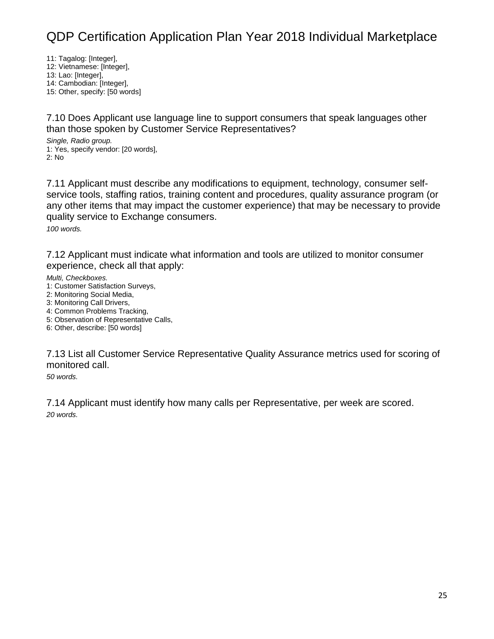11: Tagalog: [Integer],

12: Vietnamese: [Integer],

13: Lao: [Integer], 14: Cambodian: [Integer],

15: Other, specify: [50 words]

7.10 Does Applicant use language line to support consumers that speak languages other than those spoken by Customer Service Representatives?

*Single, Radio group.* 1: Yes, specify vendor: [20 words], 2: No

7.11 Applicant must describe any modifications to equipment, technology, consumer selfservice tools, staffing ratios, training content and procedures, quality assurance program (or any other items that may impact the customer experience) that may be necessary to provide quality service to Exchange consumers. *100 words.*

7.12 Applicant must indicate what information and tools are utilized to monitor consumer experience, check all that apply:

*Multi, Checkboxes.*

- 1: Customer Satisfaction Surveys,
- 2: Monitoring Social Media,
- 3: Monitoring Call Drivers,
- 4: Common Problems Tracking,
- 5: Observation of Representative Calls, 6: Other, describe: [50 words]

7.13 List all Customer Service Representative Quality Assurance metrics used for scoring of monitored call.

*50 words.*

7.14 Applicant must identify how many calls per Representative, per week are scored. *20 words.*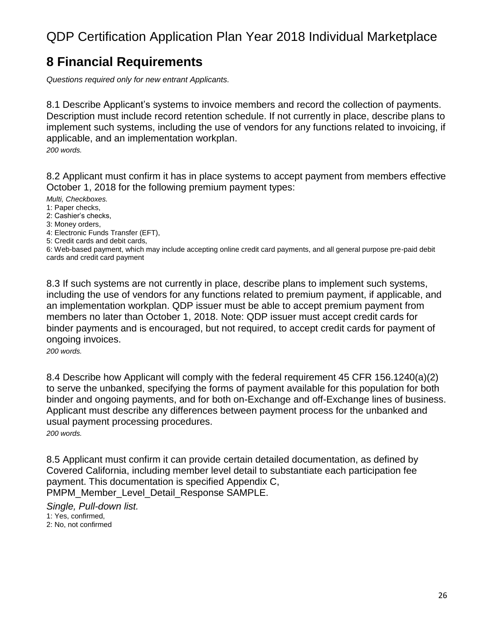### <span id="page-25-0"></span>**8 Financial Requirements**

*Questions required only for new entrant Applicants.*

8.1 Describe Applicant's systems to invoice members and record the collection of payments. Description must include record retention schedule. If not currently in place, describe plans to implement such systems, including the use of vendors for any functions related to invoicing, if applicable, and an implementation workplan. *200 words.*

8.2 Applicant must confirm it has in place systems to accept payment from members effective October 1, 2018 for the following premium payment types:

*Multi, Checkboxes.*

1: Paper checks,

2: Cashier's checks,

3: Money orders,

4: Electronic Funds Transfer (EFT),

5: Credit cards and debit cards,

6: Web-based payment, which may include accepting online credit card payments, and all general purpose pre-paid debit cards and credit card payment

8.3 If such systems are not currently in place, describe plans to implement such systems, including the use of vendors for any functions related to premium payment, if applicable, and an implementation workplan. QDP issuer must be able to accept premium payment from members no later than October 1, 2018. Note: QDP issuer must accept credit cards for binder payments and is encouraged, but not required, to accept credit cards for payment of ongoing invoices.

*200 words.*

8.4 Describe how Applicant will comply with the federal requirement 45 CFR 156.1240(a)(2) to serve the unbanked, specifying the forms of payment available for this population for both binder and ongoing payments, and for both on-Exchange and off-Exchange lines of business. Applicant must describe any differences between payment process for the unbanked and usual payment processing procedures. *200 words.*

8.5 Applicant must confirm it can provide certain detailed documentation, as defined by Covered California, including member level detail to substantiate each participation fee payment. This documentation is specified Appendix C, PMPM\_Member\_Level\_Detail\_Response SAMPLE.

*Single, Pull-down list.* 1: Yes, confirmed, 2: No, not confirmed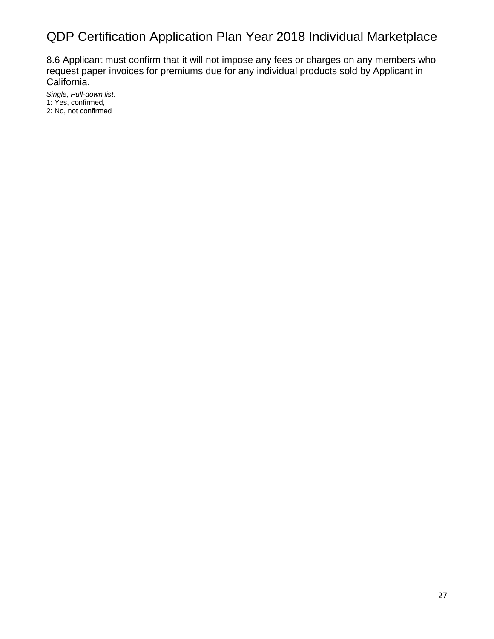8.6 Applicant must confirm that it will not impose any fees or charges on any members who request paper invoices for premiums due for any individual products sold by Applicant in California.

*Single, Pull-down list.* 1: Yes, confirmed, 2: No, not confirmed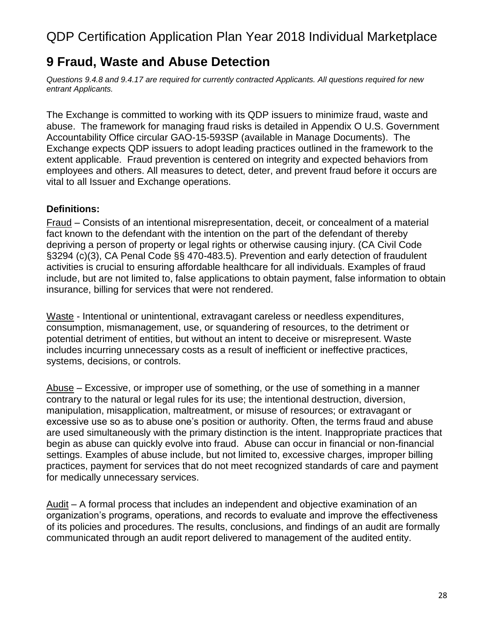### <span id="page-27-0"></span>**9 Fraud, Waste and Abuse Detection**

*Questions 9.4.8 and 9.4.17 are required for currently contracted Applicants. All questions required for new entrant Applicants.*

The Exchange is committed to working with its QDP issuers to minimize fraud, waste and abuse. The framework for managing fraud risks is detailed in Appendix O U.S. Government Accountability Office circular GAO-15-593SP (available in Manage Documents). The Exchange expects QDP issuers to adopt leading practices outlined in the framework to the extent applicable. Fraud prevention is centered on integrity and expected behaviors from employees and others. All measures to detect, deter, and prevent fraud before it occurs are vital to all Issuer and Exchange operations.

### **Definitions:**

Fraud – Consists of an intentional misrepresentation, deceit, or concealment of a material fact known to the defendant with the intention on the part of the defendant of thereby depriving a person of property or legal rights or otherwise causing injury. (CA Civil Code §3294 (c)(3), CA Penal Code §§ 470-483.5). Prevention and early detection of fraudulent activities is crucial to ensuring affordable healthcare for all individuals. Examples of fraud include, but are not limited to, false applications to obtain payment, false information to obtain insurance, billing for services that were not rendered.

Waste - Intentional or unintentional, extravagant careless or needless expenditures, consumption, mismanagement, use, or squandering of resources, to the detriment or potential detriment of entities, but without an intent to deceive or misrepresent. Waste includes incurring unnecessary costs as a result of inefficient or ineffective practices, systems, decisions, or controls.

Abuse – Excessive, or improper use of something, or the use of something in a manner contrary to the natural or legal rules for its use; the intentional destruction, diversion, manipulation, misapplication, maltreatment, or misuse of resources; or extravagant or excessive use so as to abuse one's position or authority. Often, the terms fraud and abuse are used simultaneously with the primary distinction is the intent. Inappropriate practices that begin as abuse can quickly evolve into fraud. Abuse can occur in financial or non-financial settings. Examples of abuse include, but not limited to, excessive charges, improper billing practices, payment for services that do not meet recognized standards of care and payment for medically unnecessary services.

Audit – A formal process that includes an independent and objective examination of an organization's programs, operations, and records to evaluate and improve the effectiveness of its policies and procedures. The results, conclusions, and findings of an audit are formally communicated through an audit report delivered to management of the audited entity.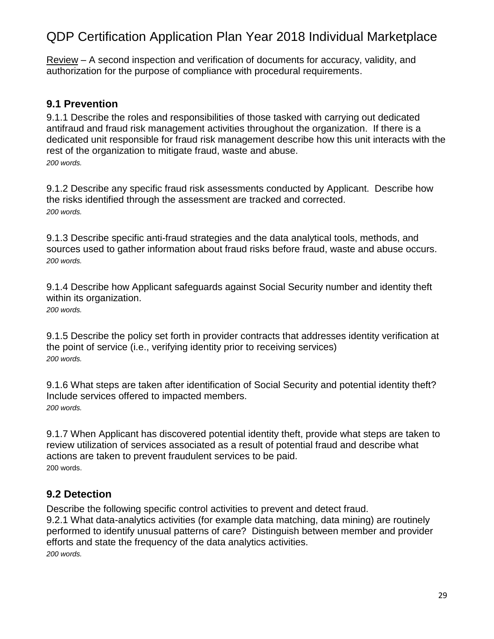Review – A second inspection and verification of documents for accuracy, validity, and authorization for the purpose of compliance with procedural requirements.

### <span id="page-28-0"></span>**9.1 Prevention**

9.1.1 Describe the roles and responsibilities of those tasked with carrying out dedicated antifraud and fraud risk management activities throughout the organization. If there is a dedicated unit responsible for fraud risk management describe how this unit interacts with the rest of the organization to mitigate fraud, waste and abuse. *200 words.*

9.1.2 Describe any specific fraud risk assessments conducted by Applicant. Describe how the risks identified through the assessment are tracked and corrected. *200 words.*

9.1.3 Describe specific anti-fraud strategies and the data analytical tools, methods, and sources used to gather information about fraud risks before fraud, waste and abuse occurs. *200 words.*

9.1.4 Describe how Applicant safeguards against Social Security number and identity theft within its organization. *200 words.*

9.1.5 Describe the policy set forth in provider contracts that addresses identity verification at the point of service (i.e., verifying identity prior to receiving services) *200 words.*

9.1.6 What steps are taken after identification of Social Security and potential identity theft? Include services offered to impacted members. *200 words.*

9.1.7 When Applicant has discovered potential identity theft, provide what steps are taken to review utilization of services associated as a result of potential fraud and describe what actions are taken to prevent fraudulent services to be paid. 200 words.

### <span id="page-28-1"></span>**9.2 Detection**

Describe the following specific control activities to prevent and detect fraud. 9.2.1 What data-analytics activities (for example data matching, data mining) are routinely performed to identify unusual patterns of care? Distinguish between member and provider efforts and state the frequency of the data analytics activities. *200 words.*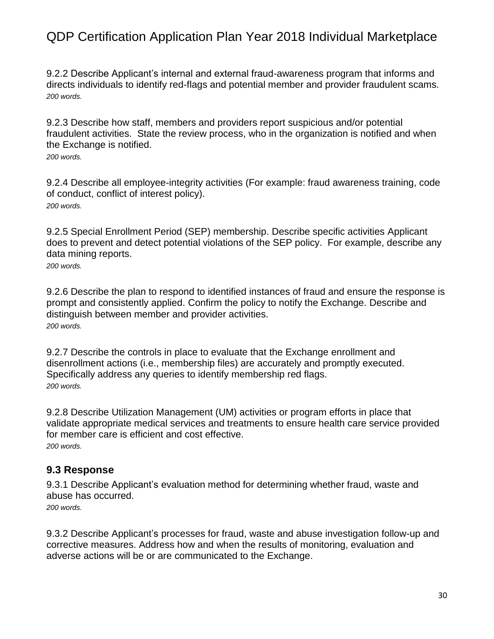9.2.2 Describe Applicant's internal and external fraud-awareness program that informs and directs individuals to identify red-flags and potential member and provider fraudulent scams. *200 words.*

9.2.3 Describe how staff, members and providers report suspicious and/or potential fraudulent activities. State the review process, who in the organization is notified and when the Exchange is notified.

*200 words.*

9.2.4 Describe all employee-integrity activities (For example: fraud awareness training, code of conduct, conflict of interest policy). *200 words.*

9.2.5 Special Enrollment Period (SEP) membership. Describe specific activities Applicant does to prevent and detect potential violations of the SEP policy. For example, describe any data mining reports.

*200 words.*

9.2.6 Describe the plan to respond to identified instances of fraud and ensure the response is prompt and consistently applied. Confirm the policy to notify the Exchange. Describe and distinguish between member and provider activities. *200 words.*

9.2.7 Describe the controls in place to evaluate that the Exchange enrollment and disenrollment actions (i.e., membership files) are accurately and promptly executed. Specifically address any queries to identify membership red flags. *200 words.*

9.2.8 Describe Utilization Management (UM) activities or program efforts in place that validate appropriate medical services and treatments to ensure health care service provided for member care is efficient and cost effective. *200 words.*

### <span id="page-29-0"></span>**9.3 Response**

9.3.1 Describe Applicant's evaluation method for determining whether fraud, waste and abuse has occurred. *200 words.*

9.3.2 Describe Applicant's processes for fraud, waste and abuse investigation follow-up and corrective measures. Address how and when the results of monitoring, evaluation and adverse actions will be or are communicated to the Exchange.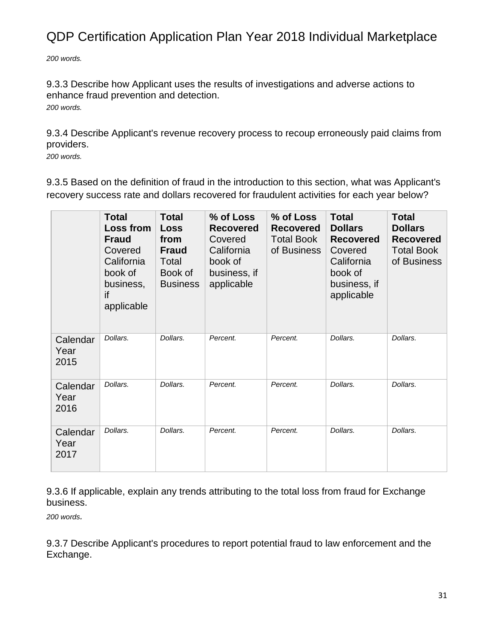*200 words.*

9.3.3 Describe how Applicant uses the results of investigations and adverse actions to enhance fraud prevention and detection. *200 words.*

9.3.4 Describe Applicant's revenue recovery process to recoup erroneously paid claims from providers.

*200 words.*

9.3.5 Based on the definition of fraud in the introduction to this section, what was Applicant's recovery success rate and dollars recovered for fraudulent activities for each year below?

|                          | <b>Total</b><br><b>Loss from</b><br><b>Fraud</b><br>Covered<br>California<br>book of<br>business,<br>if<br>applicable | <b>Total</b><br><b>Loss</b><br>from<br><b>Fraud</b><br>Total<br>Book of<br><b>Business</b> | % of Loss<br><b>Recovered</b><br>Covered<br>California<br>book of<br>business, if<br>applicable | % of Loss<br><b>Recovered</b><br><b>Total Book</b><br>of Business | <b>Total</b><br><b>Dollars</b><br><b>Recovered</b><br>Covered<br>California<br>book of<br>business, if<br>applicable | <b>Total</b><br><b>Dollars</b><br><b>Recovered</b><br><b>Total Book</b><br>of Business |
|--------------------------|-----------------------------------------------------------------------------------------------------------------------|--------------------------------------------------------------------------------------------|-------------------------------------------------------------------------------------------------|-------------------------------------------------------------------|----------------------------------------------------------------------------------------------------------------------|----------------------------------------------------------------------------------------|
| Calendar<br>Year<br>2015 | Dollars.                                                                                                              | Dollars.                                                                                   | Percent.                                                                                        | Percent.                                                          | Dollars.                                                                                                             | Dollars.                                                                               |
| Calendar<br>Year<br>2016 | Dollars.                                                                                                              | Dollars.                                                                                   | Percent.                                                                                        | Percent.                                                          | Dollars.                                                                                                             | Dollars.                                                                               |
| Calendar<br>Year<br>2017 | Dollars.                                                                                                              | Dollars.                                                                                   | Percent.                                                                                        | Percent.                                                          | Dollars.                                                                                                             | Dollars.                                                                               |

9.3.6 If applicable, explain any trends attributing to the total loss from fraud for Exchange business.

*200 words.*

9.3.7 Describe Applicant's procedures to report potential fraud to law enforcement and the Exchange.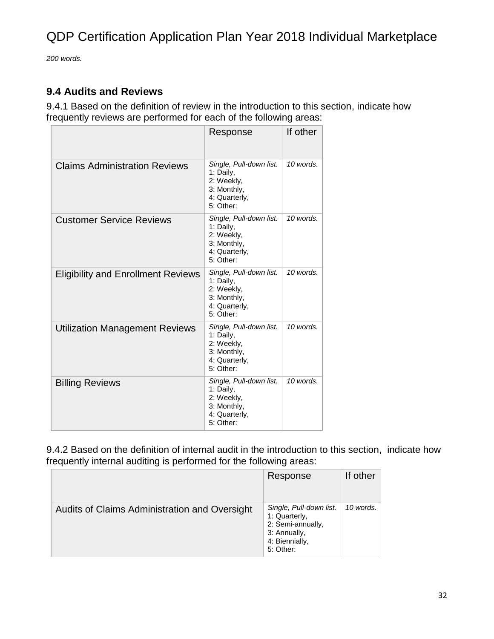*200 words.*

### <span id="page-31-0"></span>**9.4 Audits and Reviews**

9.4.1 Based on the definition of review in the introduction to this section, indicate how frequently reviews are performed for each of the following areas:

|                                           | Response                                                                                        | If other  |
|-------------------------------------------|-------------------------------------------------------------------------------------------------|-----------|
| <b>Claims Administration Reviews</b>      | Single, Pull-down list.<br>1: Daily,<br>2: Weekly,<br>3: Monthly,<br>4: Quarterly,<br>5: Other: | 10 words. |
| <b>Customer Service Reviews</b>           | Single, Pull-down list.<br>1: Daily,<br>2: Weekly,<br>3: Monthly,<br>4: Quarterly,<br>5: Other: | 10 words. |
| <b>Eligibility and Enrollment Reviews</b> | Single, Pull-down list.<br>1: Daily,<br>2: Weekly,<br>3: Monthly,<br>4: Quarterly,<br>5: Other: | 10 words. |
| <b>Utilization Management Reviews</b>     | Single, Pull-down list.<br>1: Daily,<br>2: Weekly,<br>3: Monthly,<br>4: Quarterly,<br>5: Other: | 10 words. |
| <b>Billing Reviews</b>                    | Single, Pull-down list.<br>1: Daily,<br>2: Weekly,<br>3: Monthly,<br>4: Quarterly,<br>5: Other: | 10 words. |

9.4.2 Based on the definition of internal audit in the introduction to this section, indicate how frequently internal auditing is performed for the following areas:

|                                               | Response                                                                                                     | If other  |
|-----------------------------------------------|--------------------------------------------------------------------------------------------------------------|-----------|
| Audits of Claims Administration and Oversight | Single, Pull-down list.<br>1: Quarterly,<br>2: Semi-annually,<br>3: Annually,<br>4: Biennially,<br>5: Other: | 10 words. |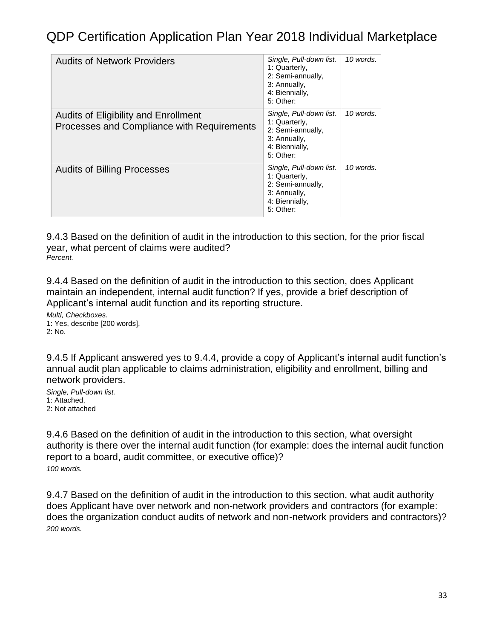| <b>Audits of Network Providers</b>                                                 | Single, Pull-down list.<br>1: Quarterly,<br>2: Semi-annually,<br>3: Annually,<br>4: Biennially,<br>5: Other: | 10 words. |
|------------------------------------------------------------------------------------|--------------------------------------------------------------------------------------------------------------|-----------|
| Audits of Eligibility and Enrollment<br>Processes and Compliance with Requirements | Single, Pull-down list.<br>1: Quarterly,<br>2: Semi-annually,<br>3: Annually,<br>4: Biennially,<br>5: Other: | 10 words. |
| <b>Audits of Billing Processes</b>                                                 | Single, Pull-down list.<br>1: Quarterly,<br>2: Semi-annually,<br>3: Annually,<br>4: Biennially,<br>5: Other: | 10 words. |

9.4.3 Based on the definition of audit in the introduction to this section, for the prior fiscal year, what percent of claims were audited? *Percent.*

9.4.4 Based on the definition of audit in the introduction to this section, does Applicant maintain an independent, internal audit function? If yes, provide a brief description of Applicant's internal audit function and its reporting structure.

*Multi, Checkboxes.* 1: Yes, describe [200 words], 2: No.

9.4.5 If Applicant answered yes to 9.4.4, provide a copy of Applicant's internal audit function's annual audit plan applicable to claims administration, eligibility and enrollment, billing and network providers.

*Single, Pull-down list.* 1: Attached, 2: Not attached

9.4.6 Based on the definition of audit in the introduction to this section, what oversight authority is there over the internal audit function (for example: does the internal audit function report to a board, audit committee, or executive office)? *100 words.*

9.4.7 Based on the definition of audit in the introduction to this section, what audit authority does Applicant have over network and non-network providers and contractors (for example: does the organization conduct audits of network and non-network providers and contractors)? *200 words.*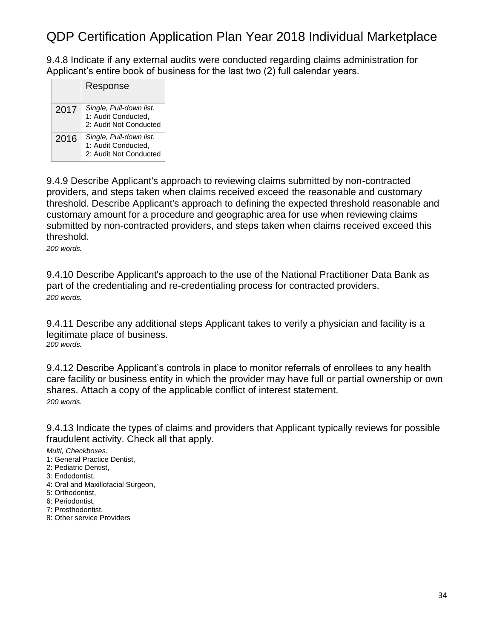9.4.8 Indicate if any external audits were conducted regarding claims administration for Applicant's entire book of business for the last two (2) full calendar years.

|      | Response                                                                 |
|------|--------------------------------------------------------------------------|
| 2017 | Single, Pull-down list.<br>1: Audit Conducted,<br>2: Audit Not Conducted |
| 2016 | Single, Pull-down list.<br>1: Audit Conducted,<br>2: Audit Not Conducted |

9.4.9 Describe Applicant's approach to reviewing claims submitted by non-contracted providers, and steps taken when claims received exceed the reasonable and customary threshold. Describe Applicant's approach to defining the expected threshold reasonable and customary amount for a procedure and geographic area for use when reviewing claims submitted by non-contracted providers, and steps taken when claims received exceed this threshold.

*200 words.*

9.4.10 Describe Applicant's approach to the use of the National Practitioner Data Bank as part of the credentialing and re-credentialing process for contracted providers. *200 words.*

9.4.11 Describe any additional steps Applicant takes to verify a physician and facility is a legitimate place of business. *200 words.*

9.4.12 Describe Applicant's controls in place to monitor referrals of enrollees to any health care facility or business entity in which the provider may have full or partial ownership or own shares. Attach a copy of the applicable conflict of interest statement. *200 words.*

9.4.13 Indicate the types of claims and providers that Applicant typically reviews for possible fraudulent activity. Check all that apply.

*Multi, Checkboxes.*

1: General Practice Dentist,

2: Pediatric Dentist,

- 3: Endodontist,
- 4: Oral and Maxillofacial Surgeon,
- 5: Orthodontist,
- 6: Periodontist,
- 7: Prosthodontist,
- 8: Other service Providers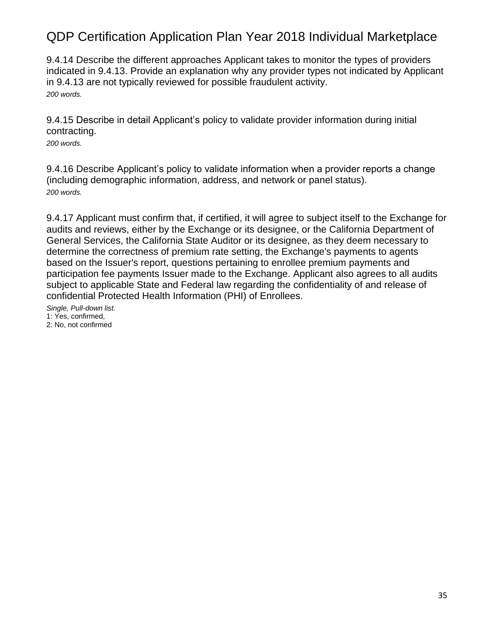9.4.14 Describe the different approaches Applicant takes to monitor the types of providers indicated in 9.4.13. Provide an explanation why any provider types not indicated by Applicant in 9.4.13 are not typically reviewed for possible fraudulent activity. *200 words.*

9.4.15 Describe in detail Applicant's policy to validate provider information during initial contracting.

*200 words.*

9.4.16 Describe Applicant's policy to validate information when a provider reports a change (including demographic information, address, and network or panel status). *200 words.*

9.4.17 Applicant must confirm that, if certified, it will agree to subject itself to the Exchange for audits and reviews, either by the Exchange or its designee, or the California Department of General Services, the California State Auditor or its designee, as they deem necessary to determine the correctness of premium rate setting, the Exchange's payments to agents based on the Issuer's report, questions pertaining to enrollee premium payments and participation fee payments Issuer made to the Exchange. Applicant also agrees to all audits subject to applicable State and Federal law regarding the confidentiality of and release of confidential Protected Health Information (PHI) of Enrollees.

*Single, Pull-down list.* 1: Yes, confirmed, 2: No, not confirmed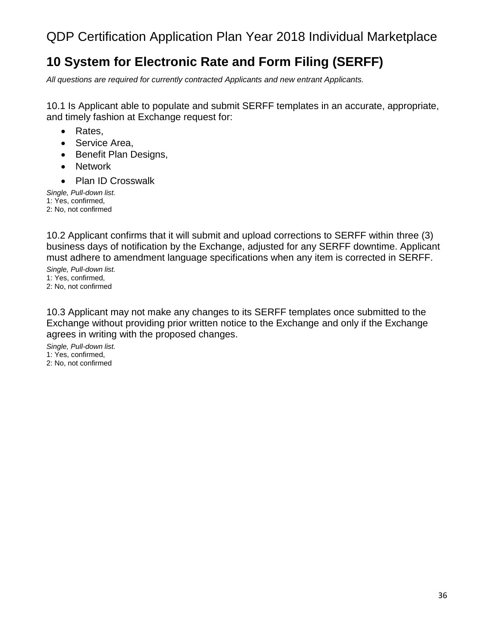## <span id="page-35-0"></span>**10 System for Electronic Rate and Form Filing (SERFF)**

*All questions are required for currently contracted Applicants and new entrant Applicants.*

10.1 Is Applicant able to populate and submit SERFF templates in an accurate, appropriate, and timely fashion at Exchange request for:

- Rates,
- Service Area,
- Benefit Plan Designs,
- Network
- Plan ID Crosswalk

*Single, Pull-down list.* 1: Yes, confirmed, 2: No, not confirmed

10.2 Applicant confirms that it will submit and upload corrections to SERFF within three (3) business days of notification by the Exchange, adjusted for any SERFF downtime. Applicant must adhere to amendment language specifications when any item is corrected in SERFF.

*Single, Pull-down list.* 1: Yes, confirmed, 2: No, not confirmed

10.3 Applicant may not make any changes to its SERFF templates once submitted to the Exchange without providing prior written notice to the Exchange and only if the Exchange agrees in writing with the proposed changes.

*Single, Pull-down list.* 1: Yes, confirmed, 2: No, not confirmed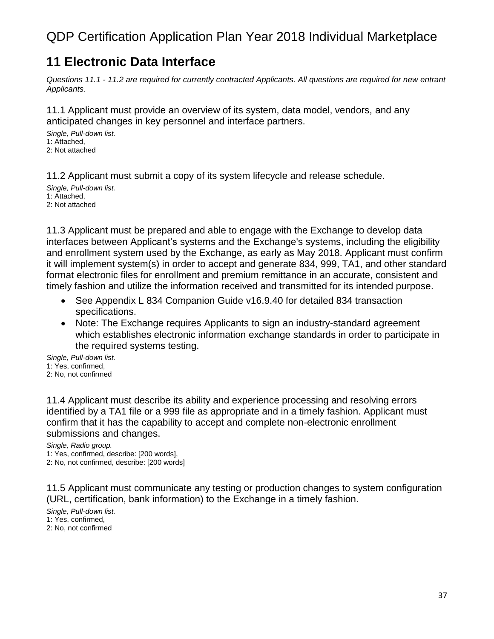#### **11 Electronic Data Interface**

*Questions 11.1 - 11.2 are required for currently contracted Applicants. All questions are required for new entrant Applicants.*

11.1 Applicant must provide an overview of its system, data model, vendors, and any anticipated changes in key personnel and interface partners.

*Single, Pull-down list.* 1: Attached, 2: Not attached

11.2 Applicant must submit a copy of its system lifecycle and release schedule.

*Single, Pull-down list.* 1: Attached, 2: Not attached

11.3 Applicant must be prepared and able to engage with the Exchange to develop data interfaces between Applicant's systems and the Exchange's systems, including the eligibility and enrollment system used by the Exchange, as early as May 2018. Applicant must confirm it will implement system(s) in order to accept and generate 834, 999, TA1, and other standard format electronic files for enrollment and premium remittance in an accurate, consistent and timely fashion and utilize the information received and transmitted for its intended purpose.

- See Appendix L 834 Companion Guide v16.9.40 for detailed 834 transaction specifications.
- Note: The Exchange requires Applicants to sign an industry-standard agreement which establishes electronic information exchange standards in order to participate in the required systems testing.

*Single, Pull-down list.* 1: Yes, confirmed, 2: No, not confirmed

11.4 Applicant must describe its ability and experience processing and resolving errors identified by a TA1 file or a 999 file as appropriate and in a timely fashion. Applicant must confirm that it has the capability to accept and complete non-electronic enrollment submissions and changes.

*Single, Radio group.*

1: Yes, confirmed, describe: [200 words],

2: No, not confirmed, describe: [200 words]

11.5 Applicant must communicate any testing or production changes to system configuration (URL, certification, bank information) to the Exchange in a timely fashion.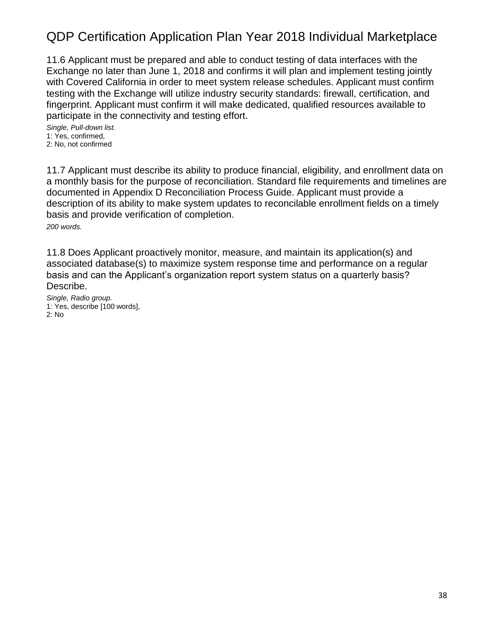11.6 Applicant must be prepared and able to conduct testing of data interfaces with the Exchange no later than June 1, 2018 and confirms it will plan and implement testing jointly with Covered California in order to meet system release schedules. Applicant must confirm testing with the Exchange will utilize industry security standards: firewall, certification, and fingerprint. Applicant must confirm it will make dedicated, qualified resources available to participate in the connectivity and testing effort.

*Single, Pull-down list.* 1: Yes, confirmed, 2: No, not confirmed

11.7 Applicant must describe its ability to produce financial, eligibility, and enrollment data on a monthly basis for the purpose of reconciliation. Standard file requirements and timelines are documented in Appendix D Reconciliation Process Guide. Applicant must provide a description of its ability to make system updates to reconcilable enrollment fields on a timely basis and provide verification of completion. *200 words.*

11.8 Does Applicant proactively monitor, measure, and maintain its application(s) and associated database(s) to maximize system response time and performance on a regular basis and can the Applicant's organization report system status on a quarterly basis? Describe.

*Single, Radio group.* 1: Yes, describe [100 words], 2: No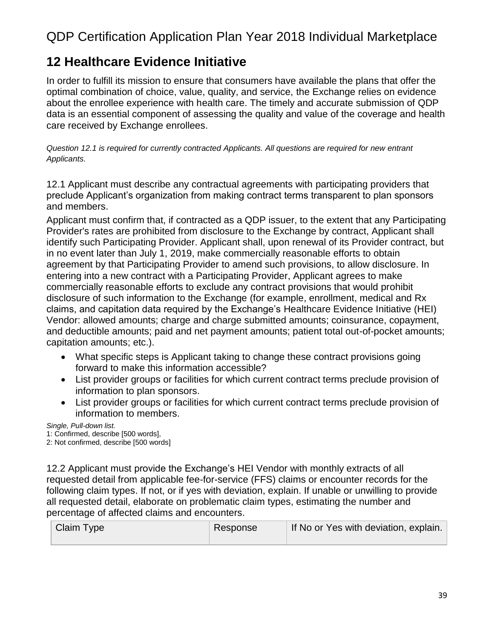#### **12 Healthcare Evidence Initiative**

In order to fulfill its mission to ensure that consumers have available the plans that offer the optimal combination of choice, value, quality, and service, the Exchange relies on evidence about the enrollee experience with health care. The timely and accurate submission of QDP data is an essential component of assessing the quality and value of the coverage and health care received by Exchange enrollees.

*Question 12.1 is required for currently contracted Applicants. All questions are required for new entrant Applicants.*

12.1 Applicant must describe any contractual agreements with participating providers that preclude Applicant's organization from making contract terms transparent to plan sponsors and members.

Applicant must confirm that, if contracted as a QDP issuer, to the extent that any Participating Provider's rates are prohibited from disclosure to the Exchange by contract, Applicant shall identify such Participating Provider. Applicant shall, upon renewal of its Provider contract, but in no event later than July 1, 2019, make commercially reasonable efforts to obtain agreement by that Participating Provider to amend such provisions, to allow disclosure. In entering into a new contract with a Participating Provider, Applicant agrees to make commercially reasonable efforts to exclude any contract provisions that would prohibit disclosure of such information to the Exchange (for example, enrollment, medical and Rx claims, and capitation data required by the Exchange's Healthcare Evidence Initiative (HEI) Vendor: allowed amounts; charge and charge submitted amounts; coinsurance, copayment, and deductible amounts; paid and net payment amounts; patient total out-of-pocket amounts; capitation amounts; etc.).

- What specific steps is Applicant taking to change these contract provisions going forward to make this information accessible?
- List provider groups or facilities for which current contract terms preclude provision of information to plan sponsors.
- List provider groups or facilities for which current contract terms preclude provision of information to members.

*Single, Pull-down list.*

1: Confirmed, describe [500 words],

2: Not confirmed, describe [500 words]

12.2 Applicant must provide the Exchange's HEI Vendor with monthly extracts of all requested detail from applicable fee-for-service (FFS) claims or encounter records for the following claim types. If not, or if yes with deviation, explain. If unable or unwilling to provide all requested detail, elaborate on problematic claim types, estimating the number and percentage of affected claims and encounters.

| Claim Type | Response | If No or Yes with deviation, explain. |
|------------|----------|---------------------------------------|
|            |          |                                       |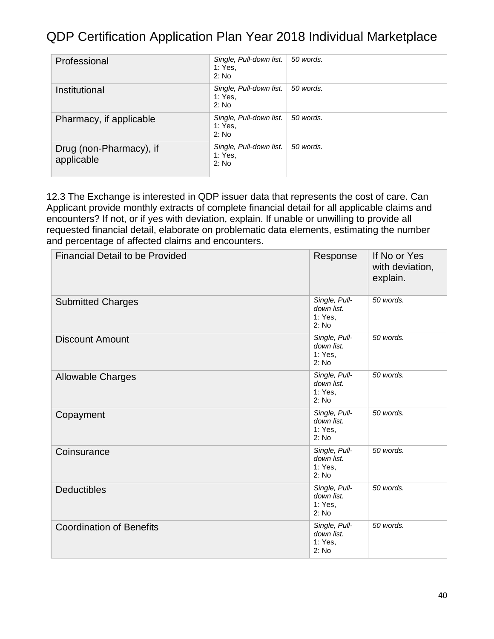| Professional                          | Single, Pull-down list.<br>1: Yes.<br>2: No | 50 words. |
|---------------------------------------|---------------------------------------------|-----------|
| Institutional                         | Single, Pull-down list.<br>1: Yes.<br>2: No | 50 words. |
| Pharmacy, if applicable               | Single, Pull-down list.<br>1: Yes.<br>2: No | 50 words. |
| Drug (non-Pharmacy), if<br>applicable | Single, Pull-down list.<br>1: Yes.<br>2: No | 50 words. |

12.3 The Exchange is interested in QDP issuer data that represents the cost of care. Can Applicant provide monthly extracts of complete financial detail for all applicable claims and encounters? If not, or if yes with deviation, explain. If unable or unwilling to provide all requested financial detail, elaborate on problematic data elements, estimating the number and percentage of affected claims and encounters.

| <b>Financial Detail to be Provided</b> | Response                                        | If No or Yes<br>with deviation,<br>explain. |
|----------------------------------------|-------------------------------------------------|---------------------------------------------|
| <b>Submitted Charges</b>               | Single, Pull-<br>down list.<br>1: Yes,<br>2: No | 50 words.                                   |
| <b>Discount Amount</b>                 | Single, Pull-<br>down list.<br>1: Yes,<br>2: No | 50 words.                                   |
| <b>Allowable Charges</b>               | Single, Pull-<br>down list.<br>1: Yes,<br>2: No | 50 words.                                   |
| Copayment                              | Single, Pull-<br>down list.<br>1: Yes,<br>2: No | 50 words.                                   |
| Coinsurance                            | Single, Pull-<br>down list.<br>1: Yes.<br>2: No | 50 words.                                   |
| <b>Deductibles</b>                     | Single, Pull-<br>down list.<br>1: Yes,<br>2: No | 50 words.                                   |
| <b>Coordination of Benefits</b>        | Single, Pull-<br>down list.<br>1: Yes,<br>2: No | 50 words.                                   |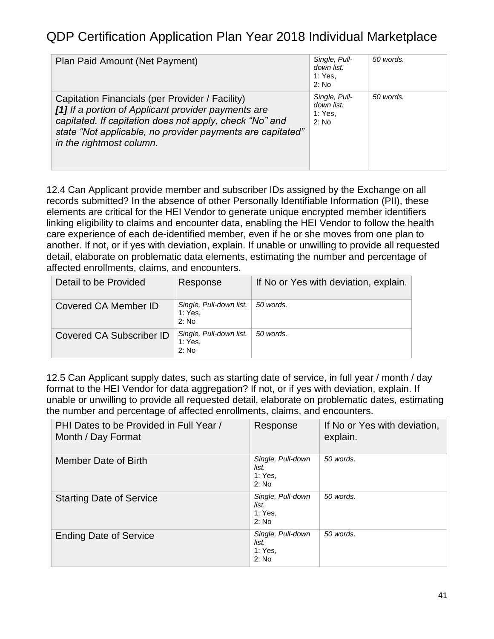| Plan Paid Amount (Net Payment)                                                                                                                                                                                                                              | Single, Pull-<br>down list.<br>1: Yes.<br>$2:$ No | 50 words. |
|-------------------------------------------------------------------------------------------------------------------------------------------------------------------------------------------------------------------------------------------------------------|---------------------------------------------------|-----------|
| Capitation Financials (per Provider / Facility)<br>[1] If a portion of Applicant provider payments are<br>capitated. If capitation does not apply, check "No" and<br>state "Not applicable, no provider payments are capitated"<br>in the rightmost column. | Single, Pull-<br>down list.<br>1: Yes.<br>$2:$ No | 50 words. |

12.4 Can Applicant provide member and subscriber IDs assigned by the Exchange on all records submitted? In the absence of other Personally Identifiable Information (PII), these elements are critical for the HEI Vendor to generate unique encrypted member identifiers linking eligibility to claims and encounter data, enabling the HEI Vendor to follow the health care experience of each de-identified member, even if he or she moves from one plan to another. If not, or if yes with deviation, explain. If unable or unwilling to provide all requested detail, elaborate on problematic data elements, estimating the number and percentage of affected enrollments, claims, and encounters.

| Detail to be Provided    | Response                                    | If No or Yes with deviation, explain. |
|--------------------------|---------------------------------------------|---------------------------------------|
| Covered CA Member ID     | Single, Pull-down list.<br>1: Yes.<br>2: No | 50 words.                             |
| Covered CA Subscriber ID | Single, Pull-down list.<br>1: Yes.<br>2: No | 50 words.                             |

12.5 Can Applicant supply dates, such as starting date of service, in full year / month / day format to the HEI Vendor for data aggregation? If not, or if yes with deviation, explain. If unable or unwilling to provide all requested detail, elaborate on problematic dates, estimating the number and percentage of affected enrollments, claims, and encounters.

| PHI Dates to be Provided in Full Year /<br>Month / Day Format | Response                                       | If No or Yes with deviation,<br>explain. |
|---------------------------------------------------------------|------------------------------------------------|------------------------------------------|
| Member Date of Birth                                          | Single, Pull-down<br>list.<br>1: Yes.<br>2: No | 50 words.                                |
| <b>Starting Date of Service</b>                               | Single, Pull-down<br>list.<br>1: Yes.<br>2: No | 50 words.                                |
| <b>Ending Date of Service</b>                                 | Single, Pull-down<br>list.<br>1: Yes.<br>2: No | 50 words.                                |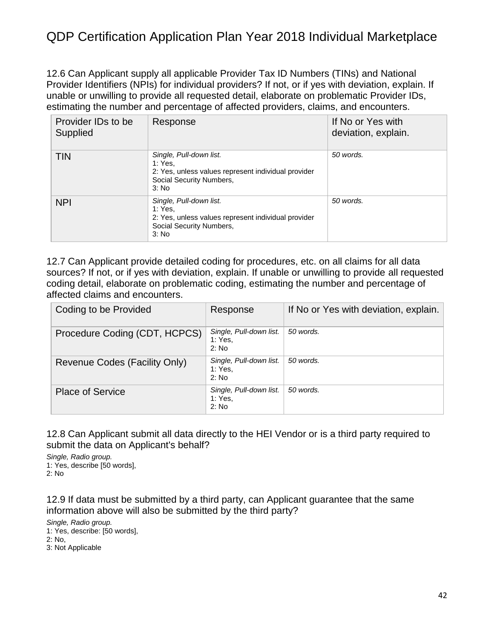12.6 Can Applicant supply all applicable Provider Tax ID Numbers (TINs) and National Provider Identifiers (NPIs) for individual providers? If not, or if yes with deviation, explain. If unable or unwilling to provide all requested detail, elaborate on problematic Provider IDs, estimating the number and percentage of affected providers, claims, and encounters.

| Provider IDs to be<br>Supplied | Response                                                                                                                       | If No or Yes with<br>deviation, explain. |
|--------------------------------|--------------------------------------------------------------------------------------------------------------------------------|------------------------------------------|
| <b>TIN</b>                     | Single, Pull-down list.<br>1: Yes.<br>2: Yes, unless values represent individual provider<br>Social Security Numbers,<br>3: No | 50 words.                                |
| <b>NPI</b>                     | Single, Pull-down list.<br>1: Yes.<br>2: Yes, unless values represent individual provider<br>Social Security Numbers,<br>3: No | 50 words.                                |

12.7 Can Applicant provide detailed coding for procedures, etc. on all claims for all data sources? If not, or if yes with deviation, explain. If unable or unwilling to provide all requested coding detail, elaborate on problematic coding, estimating the number and percentage of affected claims and encounters.

| Coding to be Provided         | Response                                    | If No or Yes with deviation, explain. |
|-------------------------------|---------------------------------------------|---------------------------------------|
| Procedure Coding (CDT, HCPCS) | Single, Pull-down list.<br>1: Yes.<br>2: No | 50 words.                             |
| Revenue Codes (Facility Only) | Single, Pull-down list.<br>1: Yes.<br>2: No | 50 words.                             |
| <b>Place of Service</b>       | Single, Pull-down list.<br>1: Yes.<br>2: No | 50 words.                             |

12.8 Can Applicant submit all data directly to the HEI Vendor or is a third party required to submit the data on Applicant's behalf?

*Single, Radio group.* 1: Yes, describe [50 words], 2: No

12.9 If data must be submitted by a third party, can Applicant guarantee that the same information above will also be submitted by the third party?

*Single, Radio group.* 1: Yes, describe: [50 words], 2: No, 3: Not Applicable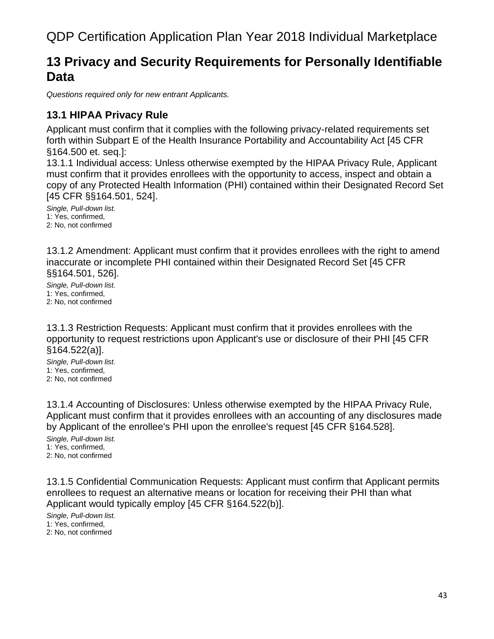#### **13 Privacy and Security Requirements for Personally Identifiable Data**

*Questions required only for new entrant Applicants.*

#### **13.1 HIPAA Privacy Rule**

Applicant must confirm that it complies with the following privacy-related requirements set forth within Subpart E of the Health Insurance Portability and Accountability Act [45 CFR §164.500 et. seq.]:

13.1.1 Individual access: Unless otherwise exempted by the HIPAA Privacy Rule, Applicant must confirm that it provides enrollees with the opportunity to access, inspect and obtain a copy of any Protected Health Information (PHI) contained within their Designated Record Set [45 CFR §§164.501, 524].

*Single, Pull-down list.* 1: Yes, confirmed, 2: No, not confirmed

13.1.2 Amendment: Applicant must confirm that it provides enrollees with the right to amend inaccurate or incomplete PHI contained within their Designated Record Set [45 CFR §§164.501, 526].

*Single, Pull-down list.* 1: Yes, confirmed, 2: No, not confirmed

13.1.3 Restriction Requests: Applicant must confirm that it provides enrollees with the opportunity to request restrictions upon Applicant's use or disclosure of their PHI [45 CFR §164.522(a)].

*Single, Pull-down list.* 1: Yes, confirmed, 2: No, not confirmed

13.1.4 Accounting of Disclosures: Unless otherwise exempted by the HIPAA Privacy Rule, Applicant must confirm that it provides enrollees with an accounting of any disclosures made by Applicant of the enrollee's PHI upon the enrollee's request [45 CFR §164.528].

*Single, Pull-down list.* 1: Yes, confirmed, 2: No, not confirmed

13.1.5 Confidential Communication Requests: Applicant must confirm that Applicant permits enrollees to request an alternative means or location for receiving their PHI than what Applicant would typically employ [45 CFR §164.522(b)].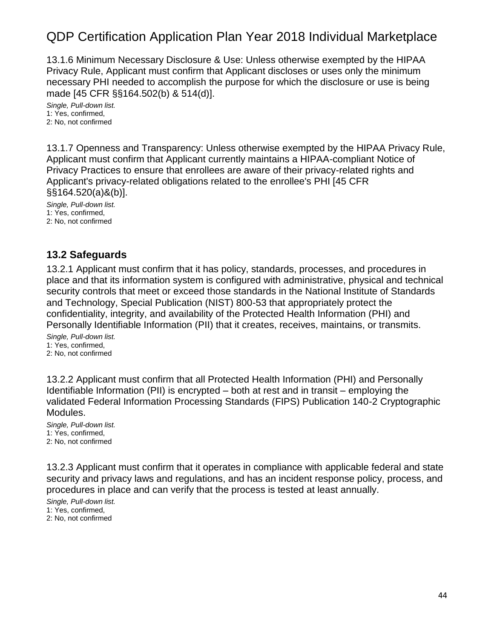13.1.6 Minimum Necessary Disclosure & Use: Unless otherwise exempted by the HIPAA Privacy Rule, Applicant must confirm that Applicant discloses or uses only the minimum necessary PHI needed to accomplish the purpose for which the disclosure or use is being made [45 CFR §§164.502(b) & 514(d)].

*Single, Pull-down list.* 1: Yes, confirmed, 2: No, not confirmed

13.1.7 Openness and Transparency: Unless otherwise exempted by the HIPAA Privacy Rule, Applicant must confirm that Applicant currently maintains a HIPAA-compliant Notice of Privacy Practices to ensure that enrollees are aware of their privacy-related rights and Applicant's privacy-related obligations related to the enrollee's PHI [45 CFR §§164.520(a)&(b)].

*Single, Pull-down list.* 1: Yes, confirmed, 2: No, not confirmed

#### **13.2 Safeguards**

13.2.1 Applicant must confirm that it has policy, standards, processes, and procedures in place and that its information system is configured with administrative, physical and technical security controls that meet or exceed those standards in the National Institute of Standards and Technology, Special Publication (NIST) 800-53 that appropriately protect the confidentiality, integrity, and availability of the Protected Health Information (PHI) and Personally Identifiable Information (PII) that it creates, receives, maintains, or transmits.

*Single, Pull-down list.* 1: Yes, confirmed, 2: No, not confirmed

13.2.2 Applicant must confirm that all Protected Health Information (PHI) and Personally Identifiable Information (PII) is encrypted – both at rest and in transit – employing the validated Federal Information Processing Standards (FIPS) Publication 140-2 Cryptographic Modules.

*Single, Pull-down list.* 1: Yes, confirmed, 2: No, not confirmed

13.2.3 Applicant must confirm that it operates in compliance with applicable federal and state security and privacy laws and regulations, and has an incident response policy, process, and procedures in place and can verify that the process is tested at least annually.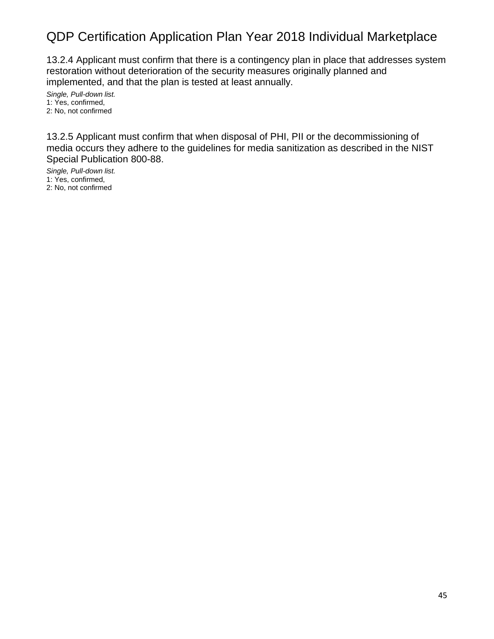13.2.4 Applicant must confirm that there is a contingency plan in place that addresses system restoration without deterioration of the security measures originally planned and implemented, and that the plan is tested at least annually.

*Single, Pull-down list.* 1: Yes, confirmed, 2: No, not confirmed

13.2.5 Applicant must confirm that when disposal of PHI, PII or the decommissioning of media occurs they adhere to the guidelines for media sanitization as described in the NIST Special Publication 800-88.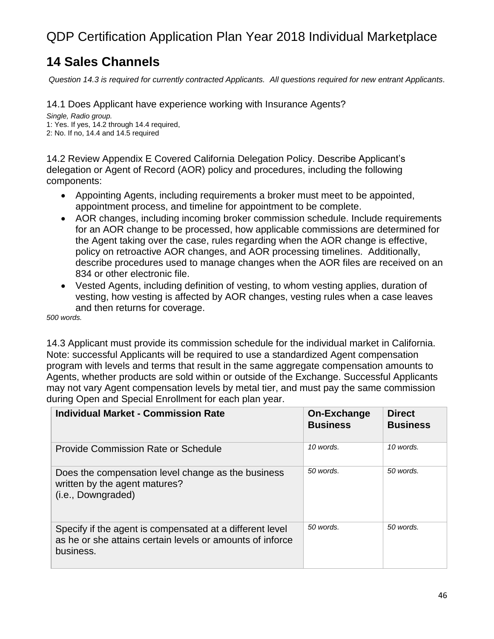### **14 Sales Channels**

*Question 14.3 is required for currently contracted Applicants. All questions required for new entrant Applicants.*

14.1 Does Applicant have experience working with Insurance Agents?

*Single, Radio group.* 1: Yes. If yes, 14.2 through 14.4 required, 2: No. If no, 14.4 and 14.5 required

14.2 Review Appendix E Covered California Delegation Policy. Describe Applicant's delegation or Agent of Record (AOR) policy and procedures, including the following components:

- Appointing Agents, including requirements a broker must meet to be appointed, appointment process, and timeline for appointment to be complete.
- AOR changes, including incoming broker commission schedule. Include requirements for an AOR change to be processed, how applicable commissions are determined for the Agent taking over the case, rules regarding when the AOR change is effective, policy on retroactive AOR changes, and AOR processing timelines. Additionally, describe procedures used to manage changes when the AOR files are received on an 834 or other electronic file.
- Vested Agents, including definition of vesting, to whom vesting applies, duration of vesting, how vesting is affected by AOR changes, vesting rules when a case leaves and then returns for coverage.

*500 words.*

14.3 Applicant must provide its commission schedule for the individual market in California. Note: successful Applicants will be required to use a standardized Agent compensation program with levels and terms that result in the same aggregate compensation amounts to Agents, whether products are sold within or outside of the Exchange. Successful Applicants may not vary Agent compensation levels by metal tier, and must pay the same commission during Open and Special Enrollment for each plan year.

| <b>Individual Market - Commission Rate</b>                                                                                         | On-Exchange<br><b>Business</b> | <b>Direct</b><br><b>Business</b> |
|------------------------------------------------------------------------------------------------------------------------------------|--------------------------------|----------------------------------|
| Provide Commission Rate or Schedule                                                                                                | 10 words.                      | 10 words.                        |
| Does the compensation level change as the business<br>written by the agent matures?<br>(i.e., Downgraded)                          | 50 words.                      | 50 words.                        |
| Specify if the agent is compensated at a different level<br>as he or she attains certain levels or amounts of inforce<br>business. | 50 words.                      | 50 words.                        |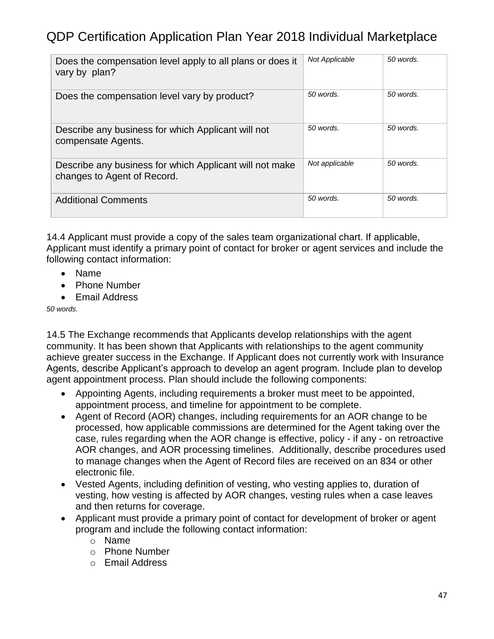| Does the compensation level apply to all plans or does it<br>vary by plan?             | Not Applicable | 50 words. |
|----------------------------------------------------------------------------------------|----------------|-----------|
| Does the compensation level vary by product?                                           | 50 words.      | 50 words. |
| Describe any business for which Applicant will not<br>compensate Agents.               | 50 words.      | 50 words. |
| Describe any business for which Applicant will not make<br>changes to Agent of Record. | Not applicable | 50 words. |
| <b>Additional Comments</b>                                                             | 50 words.      | 50 words. |

14.4 Applicant must provide a copy of the sales team organizational chart. If applicable, Applicant must identify a primary point of contact for broker or agent services and include the following contact information:

- Name
- Phone Number
- Email Address

*50 words.*

14.5 The Exchange recommends that Applicants develop relationships with the agent community. It has been shown that Applicants with relationships to the agent community achieve greater success in the Exchange. If Applicant does not currently work with Insurance Agents, describe Applicant's approach to develop an agent program. Include plan to develop agent appointment process. Plan should include the following components:

- Appointing Agents, including requirements a broker must meet to be appointed, appointment process, and timeline for appointment to be complete.
- Agent of Record (AOR) changes, including requirements for an AOR change to be processed, how applicable commissions are determined for the Agent taking over the case, rules regarding when the AOR change is effective, policy - if any - on retroactive AOR changes, and AOR processing timelines. Additionally, describe procedures used to manage changes when the Agent of Record files are received on an 834 or other electronic file.
- Vested Agents, including definition of vesting, who vesting applies to, duration of vesting, how vesting is affected by AOR changes, vesting rules when a case leaves and then returns for coverage.
- Applicant must provide a primary point of contact for development of broker or agent program and include the following contact information:
	- o Name
	- o Phone Number
	- o Email Address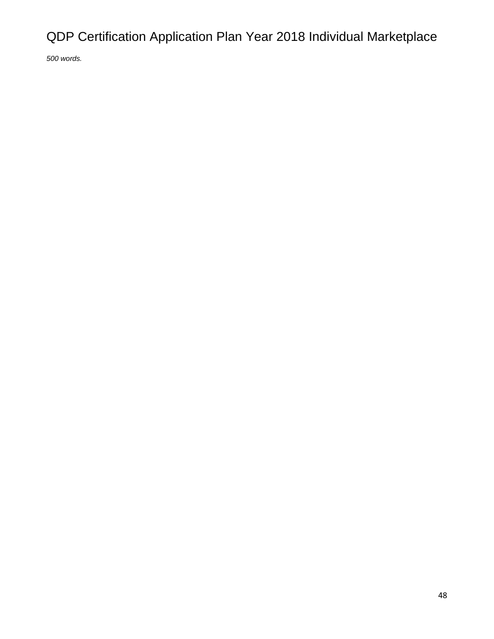*500 words.*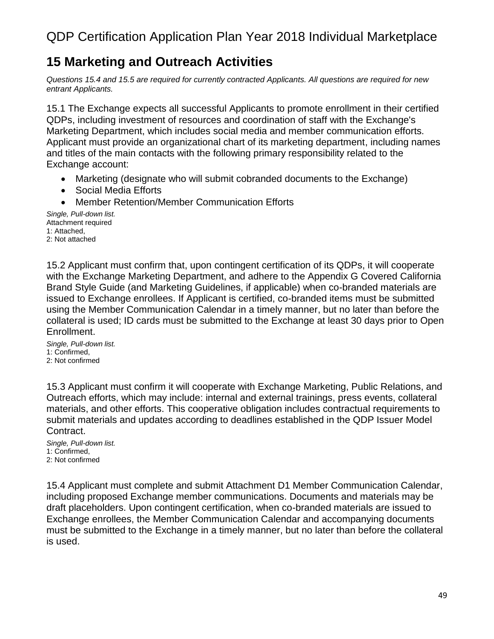### **15 Marketing and Outreach Activities**

*Questions 15.4 and 15.5 are required for currently contracted Applicants. All questions are required for new entrant Applicants.*

15.1 The Exchange expects all successful Applicants to promote enrollment in their certified QDPs, including investment of resources and coordination of staff with the Exchange's Marketing Department, which includes social media and member communication efforts. Applicant must provide an organizational chart of its marketing department, including names and titles of the main contacts with the following primary responsibility related to the Exchange account:

- Marketing (designate who will submit cobranded documents to the Exchange)
- Social Media Efforts
- Member Retention/Member Communication Efforts

*Single, Pull-down list.* Attachment required 1: Attached, 2: Not attached

15.2 Applicant must confirm that, upon contingent certification of its QDPs, it will cooperate with the Exchange Marketing Department, and adhere to the Appendix G Covered California Brand Style Guide (and Marketing Guidelines, if applicable) when co-branded materials are issued to Exchange enrollees. If Applicant is certified, co-branded items must be submitted using the Member Communication Calendar in a timely manner, but no later than before the collateral is used; ID cards must be submitted to the Exchange at least 30 days prior to Open Enrollment.

*Single, Pull-down list.* 1: Confirmed, 2: Not confirmed

15.3 Applicant must confirm it will cooperate with Exchange Marketing, Public Relations, and Outreach efforts, which may include: internal and external trainings, press events, collateral materials, and other efforts. This cooperative obligation includes contractual requirements to submit materials and updates according to deadlines established in the QDP Issuer Model Contract.

*Single, Pull-down list.* 1: Confirmed, 2: Not confirmed

15.4 Applicant must complete and submit Attachment D1 Member Communication Calendar, including proposed Exchange member communications. Documents and materials may be draft placeholders. Upon contingent certification, when co-branded materials are issued to Exchange enrollees, the Member Communication Calendar and accompanying documents must be submitted to the Exchange in a timely manner, but no later than before the collateral is used.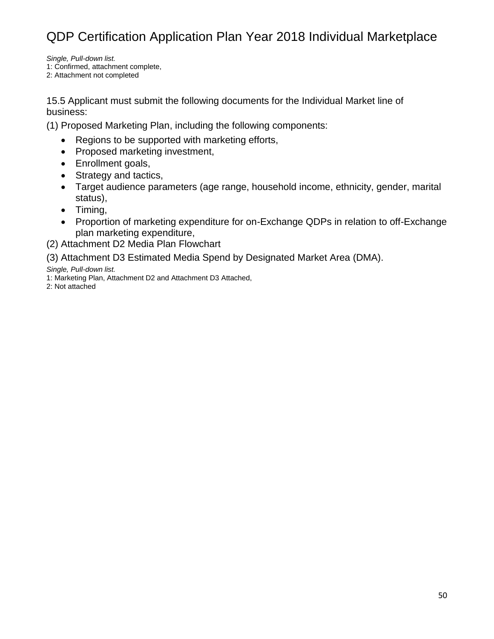*Single, Pull-down list.* 1: Confirmed, attachment complete,

2: Attachment not completed

15.5 Applicant must submit the following documents for the Individual Market line of business:

(1) Proposed Marketing Plan, including the following components:

- Regions to be supported with marketing efforts,
- Proposed marketing investment,
- Enrollment goals,
- Strategy and tactics,
- Target audience parameters (age range, household income, ethnicity, gender, marital status),
- Timing,
- Proportion of marketing expenditure for on-Exchange QDPs in relation to off-Exchange plan marketing expenditure,
- (2) Attachment D2 Media Plan Flowchart

(3) Attachment D3 Estimated Media Spend by Designated Market Area (DMA).

*Single, Pull-down list.*

1: Marketing Plan, Attachment D2 and Attachment D3 Attached,

2: Not attached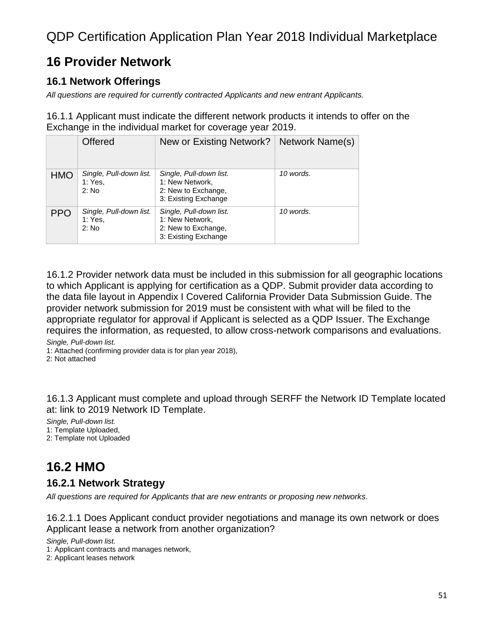### **16 Provider Network**

#### **16.1 Network Offerings**

*All questions are required for currently contracted Applicants and new entrant Applicants.*

16.1.1 Applicant must indicate the different network products it intends to offer on the Exchange in the individual market for coverage year 2019.

|            | <b>Offered</b>                              | New or Existing Network?                                                                  | Network Name(s) |
|------------|---------------------------------------------|-------------------------------------------------------------------------------------------|-----------------|
| <b>HMO</b> | Single, Pull-down list.<br>1: Yes,<br>2: No | Single, Pull-down list.<br>1: New Network,<br>2: New to Exchange,<br>3: Existing Exchange | 10 words.       |
| <b>PPO</b> | Single, Pull-down list.<br>1: Yes,<br>2: No | Single, Pull-down list.<br>1: New Network,<br>2: New to Exchange,<br>3: Existing Exchange | 10 words.       |

16.1.2 Provider network data must be included in this submission for all geographic locations to which Applicant is applying for certification as a QDP. Submit provider data according to the data file layout in Appendix I Covered California Provider Data Submission Guide. The provider network submission for 2019 must be consistent with what will be filed to the appropriate regulator for approval if Applicant is selected as a QDP Issuer. The Exchange requires the information, as requested, to allow cross-network comparisons and evaluations.

*Single, Pull-down list.*

1: Attached (confirming provider data is for plan year 2018),

2: Not attached

16.1.3 Applicant must complete and upload through SERFF the Network ID Template located at: link to 2019 Network ID Template.

*Single, Pull-down list.*

1: Template Uploaded, 2: Template not Uploaded

#### **16.2 HMO**

#### **16.2.1 Network Strategy**

*All questions are required for Applicants that are new entrants or proposing new networks.*

16.2.1.1 Does Applicant conduct provider negotiations and manage its own network or does Applicant lease a network from another organization?

*Single, Pull-down list.*

1: Applicant contracts and manages network,

2: Applicant leases network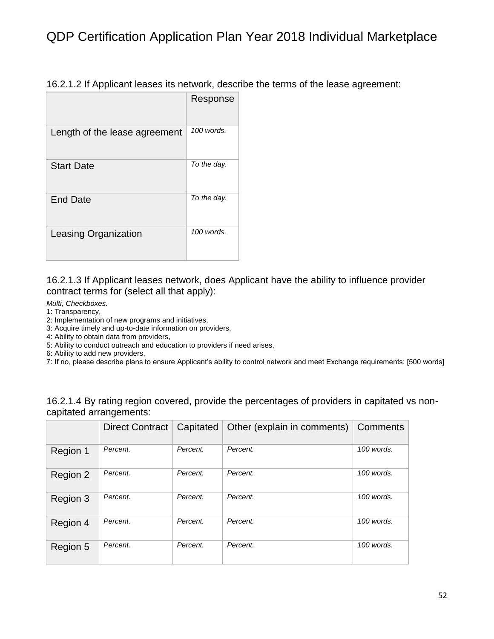| 16.2.1.2 If Applicant leases its network, describe the terms of the lease agreement: |  |  |
|--------------------------------------------------------------------------------------|--|--|
|--------------------------------------------------------------------------------------|--|--|

|                               | Response    |
|-------------------------------|-------------|
| Length of the lease agreement | 100 words.  |
| <b>Start Date</b>             | To the day. |
| <b>End Date</b>               | To the day. |
| Leasing Organization          | 100 words.  |

16.2.1.3 If Applicant leases network, does Applicant have the ability to influence provider contract terms for (select all that apply):

- *Multi, Checkboxes.*
- 1: Transparency,
- 2: Implementation of new programs and initiatives,
- 3: Acquire timely and up-to-date information on providers,
- 4: Ability to obtain data from providers,
- 5: Ability to conduct outreach and education to providers if need arises,
- 6: Ability to add new providers,
- 7: If no, please describe plans to ensure Applicant's ability to control network and meet Exchange requirements: [500 words]

16.2.1.4 By rating region covered, provide the percentages of providers in capitated vs noncapitated arrangements:

|          | <b>Direct Contract</b> | Capitated | Other (explain in comments) | Comments     |
|----------|------------------------|-----------|-----------------------------|--------------|
| Region 1 | Percent.               | Percent.  | Percent.                    | 100 words.   |
| Region 2 | Percent.               | Percent.  | Percent.                    | 100 words.   |
| Region 3 | Percent.               | Percent.  | Percent.                    | 100 words.   |
| Region 4 | Percent.               | Percent.  | Percent.                    | $100$ words. |
| Region 5 | Percent.               | Percent.  | Percent.                    | 100 words.   |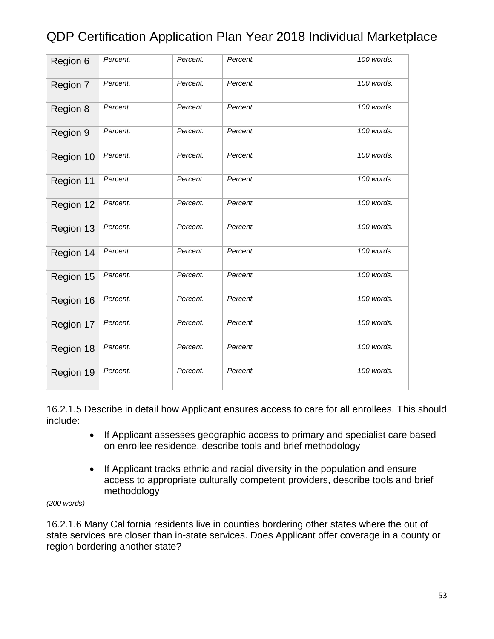| Region 6  | Percent. | Percent. | Percent. | 100 words. |
|-----------|----------|----------|----------|------------|
| Region 7  | Percent. | Percent. | Percent. | 100 words. |
| Region 8  | Percent. | Percent. | Percent. | 100 words. |
| Region 9  | Percent. | Percent. | Percent. | 100 words. |
| Region 10 | Percent. | Percent. | Percent. | 100 words. |
| Region 11 | Percent. | Percent. | Percent. | 100 words. |
| Region 12 | Percent. | Percent. | Percent. | 100 words. |
| Region 13 | Percent. | Percent. | Percent. | 100 words. |
| Region 14 | Percent. | Percent. | Percent. | 100 words. |
| Region 15 | Percent. | Percent. | Percent. | 100 words. |
| Region 16 | Percent. | Percent. | Percent. | 100 words. |
| Region 17 | Percent. | Percent. | Percent. | 100 words. |
| Region 18 | Percent. | Percent. | Percent. | 100 words. |
| Region 19 | Percent. | Percent. | Percent. | 100 words. |

16.2.1.5 Describe in detail how Applicant ensures access to care for all enrollees. This should include:

- If Applicant assesses geographic access to primary and specialist care based on enrollee residence, describe tools and brief methodology
- If Applicant tracks ethnic and racial diversity in the population and ensure access to appropriate culturally competent providers, describe tools and brief methodology

*(200 words)*

16.2.1.6 Many California residents live in counties bordering other states where the out of state services are closer than in-state services. Does Applicant offer coverage in a county or region bordering another state?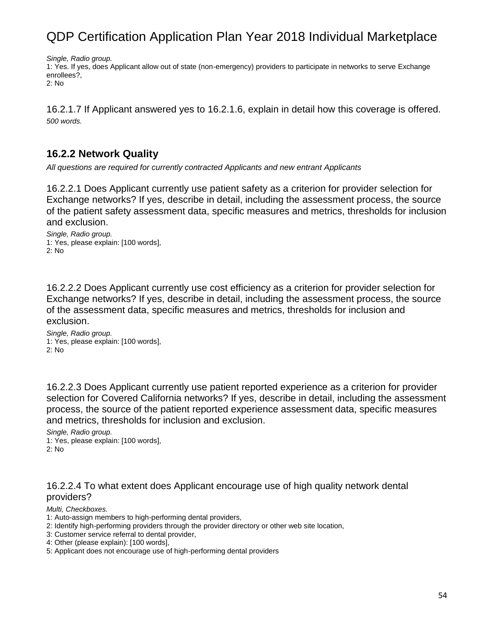*Single, Radio group.*

1: Yes. If yes, does Applicant allow out of state (non-emergency) providers to participate in networks to serve Exchange enrollees?,

2: No

16.2.1.7 If Applicant answered yes to 16.2.1.6, explain in detail how this coverage is offered. *500 words.*

#### **16.2.2 Network Quality**

*All questions are required for currently contracted Applicants and new entrant Applicants*

16.2.2.1 Does Applicant currently use patient safety as a criterion for provider selection for Exchange networks? If yes, describe in detail, including the assessment process, the source of the patient safety assessment data, specific measures and metrics, thresholds for inclusion and exclusion.

*Single, Radio group.* 1: Yes, please explain: [100 words], 2: No

16.2.2.2 Does Applicant currently use cost efficiency as a criterion for provider selection for Exchange networks? If yes, describe in detail, including the assessment process, the source of the assessment data, specific measures and metrics, thresholds for inclusion and exclusion.

*Single, Radio group.* 1: Yes, please explain: [100 words], 2: No

16.2.2.3 Does Applicant currently use patient reported experience as a criterion for provider selection for Covered California networks? If yes, describe in detail, including the assessment process, the source of the patient reported experience assessment data, specific measures and metrics, thresholds for inclusion and exclusion.

*Single, Radio group.* 1: Yes, please explain: [100 words], 2: No

#### 16.2.2.4 To what extent does Applicant encourage use of high quality network dental providers?

*Multi, Checkboxes.*

- 1: Auto-assign members to high-performing dental providers,
- 2: Identify high-performing providers through the provider directory or other web site location,
- 3: Customer service referral to dental provider,
- 4: Other (please explain): [100 words],
- 5: Applicant does not encourage use of high-performing dental providers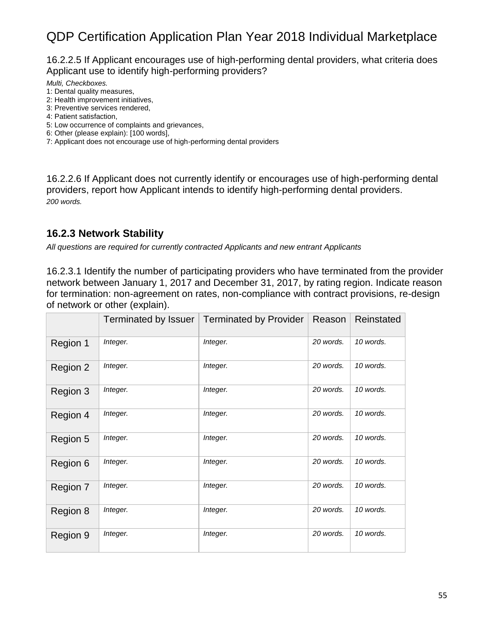16.2.2.5 If Applicant encourages use of high-performing dental providers, what criteria does Applicant use to identify high-performing providers?

*Multi, Checkboxes.*

- 1: Dental quality measures,
- 2: Health improvement initiatives,
- 3: Preventive services rendered,
- 4: Patient satisfaction,
- 5: Low occurrence of complaints and grievances,
- 6: Other (please explain): [100 words],

7: Applicant does not encourage use of high-performing dental providers

16.2.2.6 If Applicant does not currently identify or encourages use of high-performing dental providers, report how Applicant intends to identify high-performing dental providers. *200 words.*

#### **16.2.3 Network Stability**

*All questions are required for currently contracted Applicants and new entrant Applicants*

16.2.3.1 Identify the number of participating providers who have terminated from the provider network between January 1, 2017 and December 31, 2017, by rating region. Indicate reason for termination: non-agreement on rates, non-compliance with contract provisions, re-design of network or other (explain).

|          | Terminated by Issuer | <b>Terminated by Provider</b> | Reason    | Reinstated |
|----------|----------------------|-------------------------------|-----------|------------|
| Region 1 | Integer.             | Integer.                      | 20 words. | 10 words.  |
| Region 2 | Integer.             | Integer.                      | 20 words. | 10 words.  |
| Region 3 | Integer.             | Integer.                      | 20 words. | 10 words.  |
| Region 4 | Integer.             | Integer.                      | 20 words. | 10 words.  |
| Region 5 | Integer.             | Integer.                      | 20 words. | 10 words.  |
| Region 6 | Integer.             | Integer.                      | 20 words. | 10 words.  |
| Region 7 | Integer.             | Integer.                      | 20 words. | 10 words.  |
| Region 8 | Integer.             | Integer.                      | 20 words. | 10 words.  |
| Region 9 | Integer.             | Integer.                      | 20 words. | 10 words.  |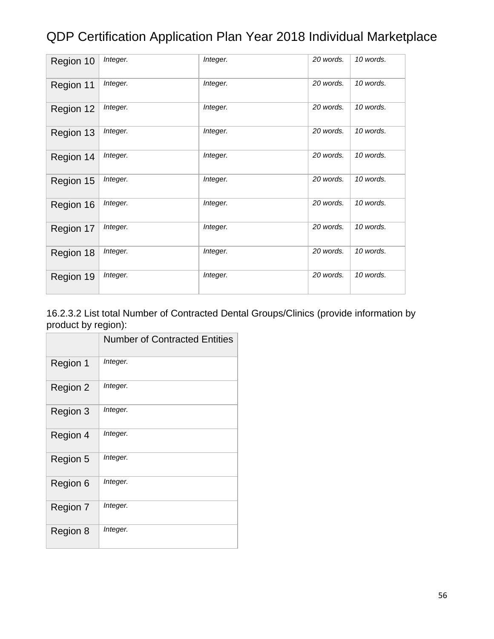| Region 10 | Integer. | Integer. | 20 words. | 10 words. |
|-----------|----------|----------|-----------|-----------|
| Region 11 | Integer. | Integer. | 20 words. | 10 words. |
| Region 12 | Integer. | Integer. | 20 words. | 10 words. |
| Region 13 | Integer. | Integer. | 20 words. | 10 words. |
| Region 14 | Integer. | Integer. | 20 words. | 10 words. |
| Region 15 | Integer. | Integer. | 20 words. | 10 words. |
| Region 16 | Integer. | Integer. | 20 words. | 10 words. |
| Region 17 | Integer. | Integer. | 20 words. | 10 words. |
| Region 18 | Integer. | Integer. | 20 words. | 10 words. |
| Region 19 | Integer. | Integer. | 20 words. | 10 words. |

#### 16.2.3.2 List total Number of Contracted Dental Groups/Clinics (provide information by product by region):

|          | <b>Number of Contracted Entities</b> |
|----------|--------------------------------------|
| Region 1 | Integer.                             |
| Region 2 | Integer.                             |
| Region 3 | Integer.                             |
| Region 4 | Integer.                             |
| Region 5 | Integer.                             |
| Region 6 | Integer.                             |
| Region 7 | Integer.                             |
| Region 8 | Integer.                             |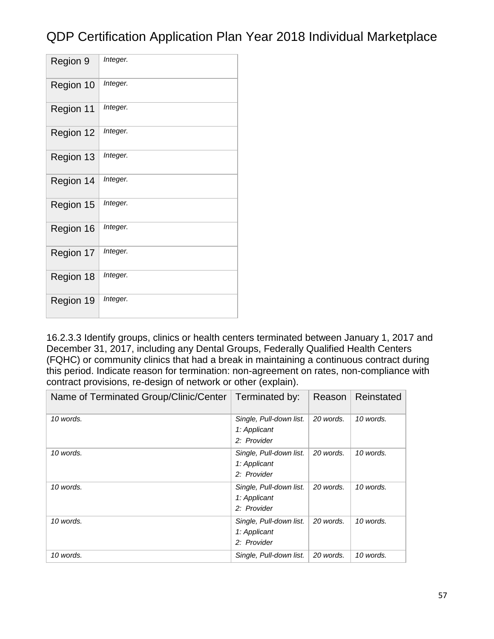| Region 9  | Integer. |
|-----------|----------|
| Region 10 | Integer. |
| Region 11 | Integer. |
| Region 12 | Integer. |
| Region 13 | Integer. |
| Region 14 | Integer. |
| Region 15 | Integer. |
| Region 16 | Integer. |
| Region 17 | Integer. |
| Region 18 | Integer. |
| Region 19 | Integer. |

16.2.3.3 Identify groups, clinics or health centers terminated between January 1, 2017 and December 31, 2017, including any Dental Groups, Federally Qualified Health Centers (FQHC) or community clinics that had a break in maintaining a continuous contract during this period. Indicate reason for termination: non-agreement on rates, non-compliance with contract provisions, re-design of network or other (explain).

| Name of Terminated Group/Clinic/Center | Terminated by:                                         | Reason    | Reinstated |
|----------------------------------------|--------------------------------------------------------|-----------|------------|
| 10 words.                              | Single, Pull-down list.<br>1: Applicant<br>2: Provider | 20 words. | 10 words.  |
| 10 words.                              | Single, Pull-down list.<br>1: Applicant<br>2: Provider | 20 words. | 10 words.  |
| 10 words.                              | Single, Pull-down list.<br>1: Applicant<br>2: Provider | 20 words. | 10 words.  |
| 10 words.                              | Single, Pull-down list.<br>1: Applicant<br>2: Provider | 20 words. | 10 words.  |
| 10 words.                              | Single, Pull-down list.                                | 20 words. | 10 words.  |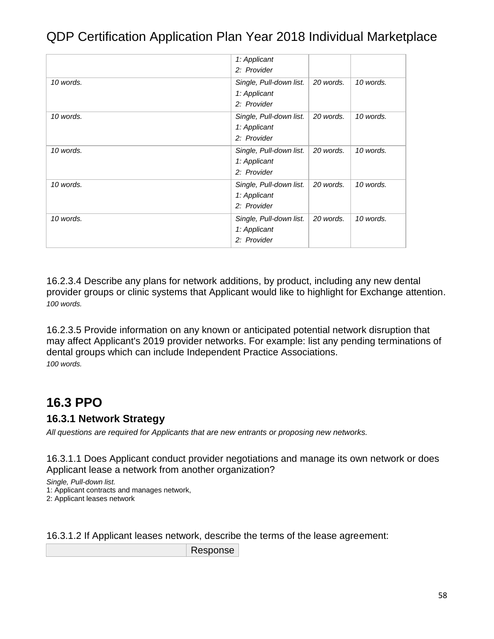|           | 1: Applicant<br>2: Provider                            |           |           |
|-----------|--------------------------------------------------------|-----------|-----------|
| 10 words. | Single, Pull-down list.<br>1: Applicant<br>2: Provider | 20 words. | 10 words. |
| 10 words. | Single, Pull-down list.<br>1: Applicant<br>2: Provider | 20 words. | 10 words. |
| 10 words. | Single, Pull-down list.<br>1: Applicant<br>2: Provider | 20 words. | 10 words. |
| 10 words. | Single, Pull-down list.<br>1: Applicant<br>2: Provider | 20 words. | 10 words. |
| 10 words. | Single, Pull-down list.<br>1: Applicant<br>2: Provider | 20 words. | 10 words. |

16.2.3.4 Describe any plans for network additions, by product, including any new dental provider groups or clinic systems that Applicant would like to highlight for Exchange attention. *100 words.*

16.2.3.5 Provide information on any known or anticipated potential network disruption that may affect Applicant's 2019 provider networks. For example: list any pending terminations of dental groups which can include Independent Practice Associations. *100 words.*

#### **16.3 PPO**

#### **16.3.1 Network Strategy**

*All questions are required for Applicants that are new entrants or proposing new networks.*

16.3.1.1 Does Applicant conduct provider negotiations and manage its own network or does Applicant lease a network from another organization?

*Single, Pull-down list.* 1: Applicant contracts and manages network, 2: Applicant leases network

16.3.1.2 If Applicant leases network, describe the terms of the lease agreement:

Response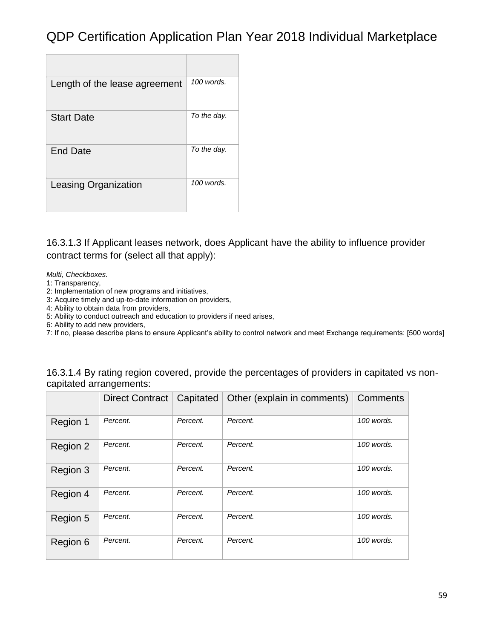| Length of the lease agreement | $100$ words. |
|-------------------------------|--------------|
| <b>Start Date</b>             | To the day.  |
| End Date                      | To the day.  |
| <b>Leasing Organization</b>   | 100 words.   |

16.3.1.3 If Applicant leases network, does Applicant have the ability to influence provider contract terms for (select all that apply):

*Multi, Checkboxes.*

1: Transparency,

2: Implementation of new programs and initiatives,

3: Acquire timely and up-to-date information on providers,

4: Ability to obtain data from providers,

5: Ability to conduct outreach and education to providers if need arises,

6: Ability to add new providers,

7: If no, please describe plans to ensure Applicant's ability to control network and meet Exchange requirements: [500 words]

| 16.3.1.4 By rating region covered, provide the percentages of providers in capitated vs non- |  |  |  |
|----------------------------------------------------------------------------------------------|--|--|--|
| capitated arrangements:                                                                      |  |  |  |

|          | <b>Direct Contract</b> | Capitated | Other (explain in comments) | Comments   |
|----------|------------------------|-----------|-----------------------------|------------|
| Region 1 | Percent.               | Percent.  | Percent.                    | 100 words. |
| Region 2 | Percent.               | Percent.  | Percent.                    | 100 words. |
| Region 3 | Percent.               | Percent.  | Percent.                    | 100 words. |
| Region 4 | Percent.               | Percent.  | Percent.                    | 100 words. |
| Region 5 | Percent.               | Percent.  | Percent.                    | 100 words. |
| Region 6 | Percent.               | Percent.  | Percent.                    | 100 words. |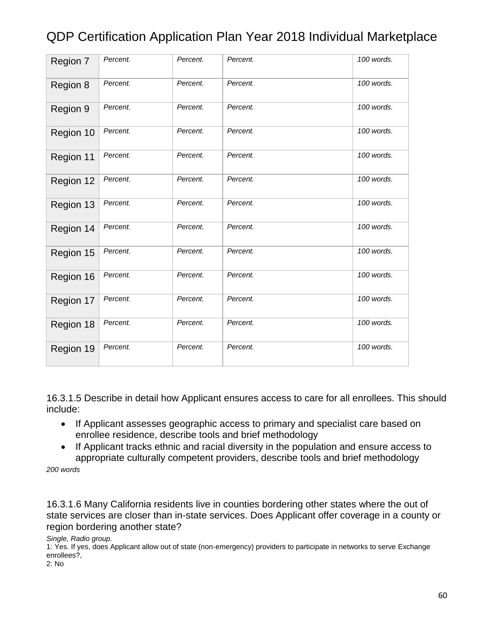| Region 7  | Percent. | Percent. | Percent. | 100 words. |
|-----------|----------|----------|----------|------------|
| Region 8  | Percent. | Percent. | Percent. | 100 words. |
| Region 9  | Percent. | Percent. | Percent. | 100 words. |
| Region 10 | Percent. | Percent. | Percent. | 100 words. |
| Region 11 | Percent. | Percent. | Percent. | 100 words. |
| Region 12 | Percent. | Percent. | Percent. | 100 words. |
| Region 13 | Percent. | Percent. | Percent. | 100 words. |
| Region 14 | Percent. | Percent. | Percent. | 100 words. |
| Region 15 | Percent. | Percent. | Percent. | 100 words. |
| Region 16 | Percent. | Percent. | Percent. | 100 words. |
| Region 17 | Percent. | Percent. | Percent. | 100 words. |
| Region 18 | Percent. | Percent. | Percent. | 100 words. |
| Region 19 | Percent. | Percent. | Percent. | 100 words. |

16.3.1.5 Describe in detail how Applicant ensures access to care for all enrollees. This should include:

- If Applicant assesses geographic access to primary and specialist care based on enrollee residence, describe tools and brief methodology
- If Applicant tracks ethnic and racial diversity in the population and ensure access to appropriate culturally competent providers, describe tools and brief methodology

*200 words*

16.3.1.6 Many California residents live in counties bordering other states where the out of state services are closer than in-state services. Does Applicant offer coverage in a county or region bordering another state?

*Single, Radio group.*

1: Yes. If yes, does Applicant allow out of state (non-emergency) providers to participate in networks to serve Exchange enrollees?,

2: No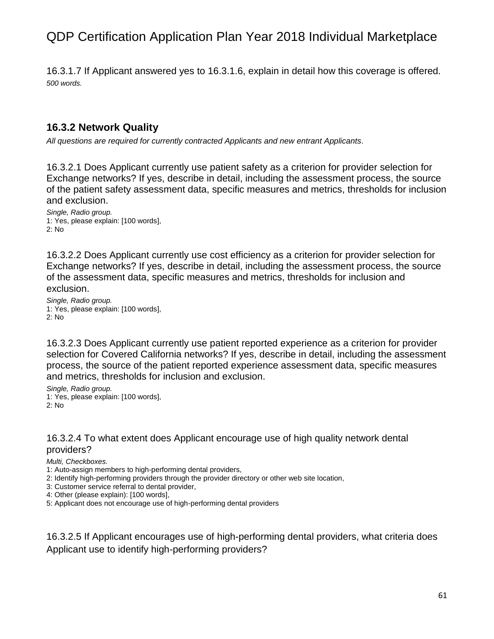16.3.1.7 If Applicant answered yes to 16.3.1.6, explain in detail how this coverage is offered. *500 words.*

#### **16.3.2 Network Quality**

*All questions are required for currently contracted Applicants and new entrant Applicants.*

16.3.2.1 Does Applicant currently use patient safety as a criterion for provider selection for Exchange networks? If yes, describe in detail, including the assessment process, the source of the patient safety assessment data, specific measures and metrics, thresholds for inclusion and exclusion.

*Single, Radio group.* 1: Yes, please explain: [100 words], 2: No

16.3.2.2 Does Applicant currently use cost efficiency as a criterion for provider selection for Exchange networks? If yes, describe in detail, including the assessment process, the source of the assessment data, specific measures and metrics, thresholds for inclusion and exclusion.

*Single, Radio group.* 1: Yes, please explain: [100 words], 2: No

16.3.2.3 Does Applicant currently use patient reported experience as a criterion for provider selection for Covered California networks? If yes, describe in detail, including the assessment process, the source of the patient reported experience assessment data, specific measures and metrics, thresholds for inclusion and exclusion.

*Single, Radio group.* 1: Yes, please explain: [100 words], 2: No

#### 16.3.2.4 To what extent does Applicant encourage use of high quality network dental providers?

*Multi, Checkboxes.*

1: Auto-assign members to high-performing dental providers,

2: Identify high-performing providers through the provider directory or other web site location,

3: Customer service referral to dental provider,

4: Other (please explain): [100 words],

5: Applicant does not encourage use of high-performing dental providers

16.3.2.5 If Applicant encourages use of high-performing dental providers, what criteria does Applicant use to identify high-performing providers?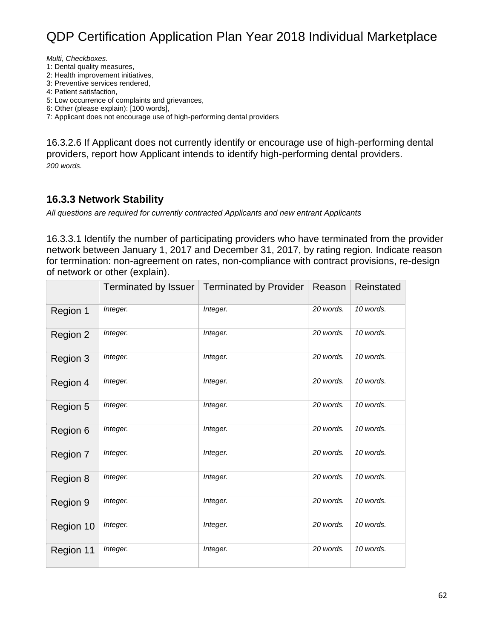*Multi, Checkboxes.*

1: Dental quality measures,

2: Health improvement initiatives,

3: Preventive services rendered,

4: Patient satisfaction,

5: Low occurrence of complaints and grievances,

6: Other (please explain): [100 words],

7: Applicant does not encourage use of high-performing dental providers

16.3.2.6 If Applicant does not currently identify or encourage use of high-performing dental providers, report how Applicant intends to identify high-performing dental providers. *200 words.*

#### **16.3.3 Network Stability**

*All questions are required for currently contracted Applicants and new entrant Applicants*

16.3.3.1 Identify the number of participating providers who have terminated from the provider network between January 1, 2017 and December 31, 2017, by rating region. Indicate reason for termination: non-agreement on rates, non-compliance with contract provisions, re-design of network or other (explain).

|           | Terminated by Issuer | <b>Terminated by Provider</b> | Reason    | Reinstated |
|-----------|----------------------|-------------------------------|-----------|------------|
| Region 1  | Integer.             | Integer.                      | 20 words. | 10 words.  |
| Region 2  | Integer.             | Integer.                      | 20 words. | 10 words.  |
| Region 3  | Integer.             | Integer.                      | 20 words. | 10 words.  |
| Region 4  | Integer.             | Integer.                      | 20 words. | 10 words.  |
| Region 5  | Integer.             | Integer.                      | 20 words. | 10 words.  |
| Region 6  | Integer.             | Integer.                      | 20 words. | 10 words.  |
| Region 7  | Integer.             | Integer.                      | 20 words. | 10 words.  |
| Region 8  | Integer.             | Integer.                      | 20 words. | 10 words.  |
| Region 9  | Integer.             | Integer.                      | 20 words. | 10 words.  |
| Region 10 | Integer.             | Integer.                      | 20 words. | 10 words.  |
| Region 11 | Integer.             | Integer.                      | 20 words. | 10 words.  |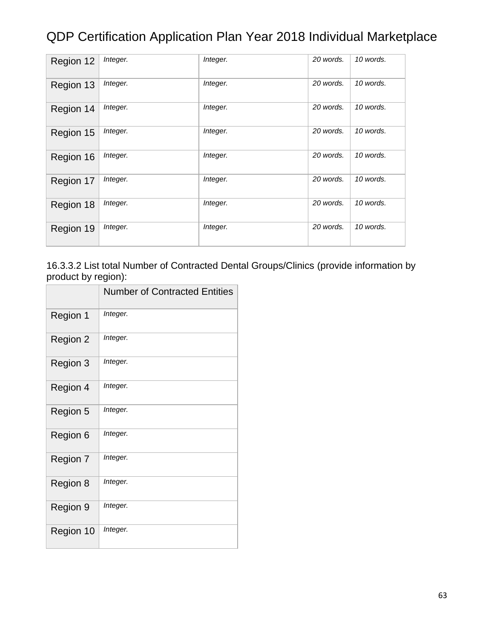| Region 12 | Integer. | Integer. | 20 words. | 10 words. |
|-----------|----------|----------|-----------|-----------|
| Region 13 | Integer. | Integer. | 20 words. | 10 words. |
| Region 14 | Integer. | Integer. | 20 words. | 10 words. |
| Region 15 | Integer. | Integer. | 20 words. | 10 words. |
| Region 16 | Integer. | Integer. | 20 words. | 10 words. |
| Region 17 | Integer. | Integer. | 20 words. | 10 words. |
| Region 18 | Integer. | Integer. | 20 words. | 10 words. |
| Region 19 | Integer. | Integer. | 20 words. | 10 words. |

#### 16.3.3.2 List total Number of Contracted Dental Groups/Clinics (provide information by product by region):

|           | <b>Number of Contracted Entities</b> |
|-----------|--------------------------------------|
| Region 1  | Integer.                             |
| Region 2  | Integer.                             |
| Region 3  | Integer.                             |
| Region 4  | Integer.                             |
| Region 5  | Integer.                             |
| Region 6  | Integer.                             |
| Region 7  | Integer.                             |
| Region 8  | Integer.                             |
| Region 9  | Integer.                             |
| Region 10 | Integer.                             |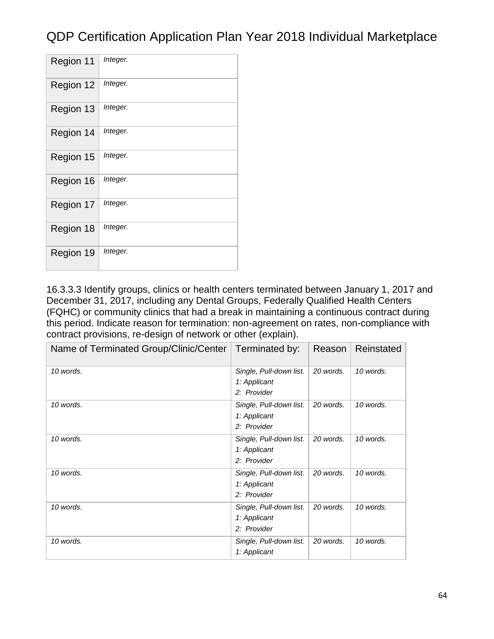| Region 11 | Integer. |
|-----------|----------|
| Region 12 | Integer. |
| Region 13 | Integer. |
| Region 14 | Integer. |
| Region 15 | Integer. |
| Region 16 | Integer. |
| Region 17 | Integer. |
| Region 18 | Integer. |
| Region 19 | Integer. |

16.3.3.3 Identify groups, clinics or health centers terminated between January 1, 2017 and December 31, 2017, including any Dental Groups, Federally Qualified Health Centers (FQHC) or community clinics that had a break in maintaining a continuous contract during this period. Indicate reason for termination: non-agreement on rates, non-compliance with contract provisions, re-design of network or other (explain).

| Name of Terminated Group/Clinic/Center | Terminated by:                                         | Reason    | Reinstated |
|----------------------------------------|--------------------------------------------------------|-----------|------------|
| 10 words.                              | Single, Pull-down list.<br>1: Applicant<br>2: Provider | 20 words. | 10 words.  |
| 10 words.                              | Single, Pull-down list.<br>1: Applicant<br>2: Provider | 20 words. | 10 words.  |
| 10 words.                              | Single, Pull-down list.<br>1: Applicant<br>2: Provider | 20 words. | 10 words.  |
| 10 words.                              | Single, Pull-down list.<br>1: Applicant<br>2: Provider | 20 words. | 10 words.  |
| 10 words.                              | Single, Pull-down list.<br>1: Applicant<br>2: Provider | 20 words. | 10 words.  |
| 10 words.                              | Single, Pull-down list.<br>1: Applicant                | 20 words. | 10 words.  |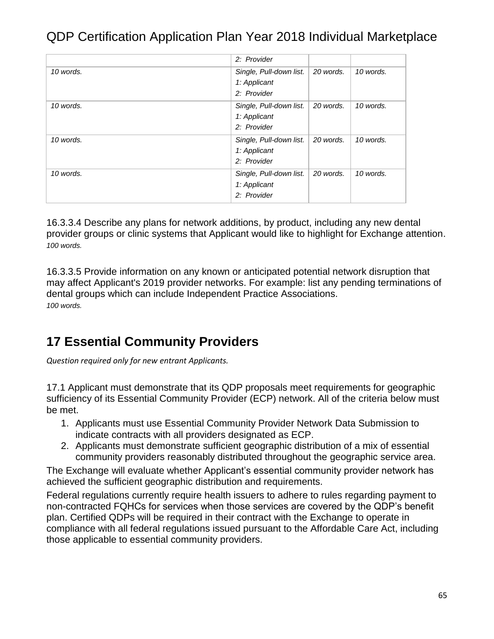|           | 2: Provider                                            |           |           |
|-----------|--------------------------------------------------------|-----------|-----------|
| 10 words. | Single, Pull-down list.<br>1: Applicant<br>2: Provider | 20 words. | 10 words. |
| 10 words. | Single, Pull-down list.<br>1: Applicant<br>2: Provider | 20 words. | 10 words. |
| 10 words. | Single, Pull-down list.<br>1: Applicant<br>2: Provider | 20 words. | 10 words. |
| 10 words. | Single, Pull-down list.<br>1: Applicant<br>2: Provider | 20 words. | 10 words. |

16.3.3.4 Describe any plans for network additions, by product, including any new dental provider groups or clinic systems that Applicant would like to highlight for Exchange attention. *100 words.*

16.3.3.5 Provide information on any known or anticipated potential network disruption that may affect Applicant's 2019 provider networks. For example: list any pending terminations of dental groups which can include Independent Practice Associations. *100 words.*

### **17 Essential Community Providers**

*Question required only for new entrant Applicants.*

17.1 Applicant must demonstrate that its QDP proposals meet requirements for geographic sufficiency of its Essential Community Provider (ECP) network. All of the criteria below must be met.

- 1. Applicants must use Essential Community Provider Network Data Submission to indicate contracts with all providers designated as ECP.
- 2. Applicants must demonstrate sufficient geographic distribution of a mix of essential community providers reasonably distributed throughout the geographic service area.

The Exchange will evaluate whether Applicant's essential community provider network has achieved the sufficient geographic distribution and requirements.

Federal regulations currently require health issuers to adhere to rules regarding payment to non-contracted FQHCs for services when those services are covered by the QDP's benefit plan. Certified QDPs will be required in their contract with the Exchange to operate in compliance with all federal regulations issued pursuant to the Affordable Care Act, including those applicable to essential community providers.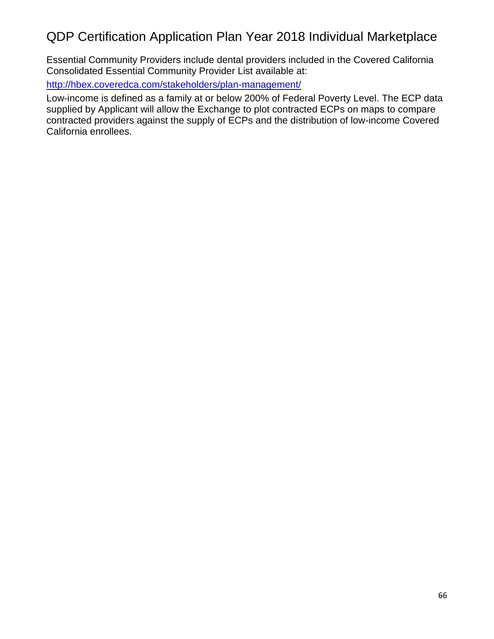Essential Community Providers include dental providers included in the Covered California Consolidated Essential Community Provider List available at:

<http://hbex.coveredca.com/stakeholders/plan-management/>

Low-income is defined as a family at or below 200% of Federal Poverty Level. The ECP data supplied by Applicant will allow the Exchange to plot contracted ECPs on maps to compare contracted providers against the supply of ECPs and the distribution of low-income Covered California enrollees.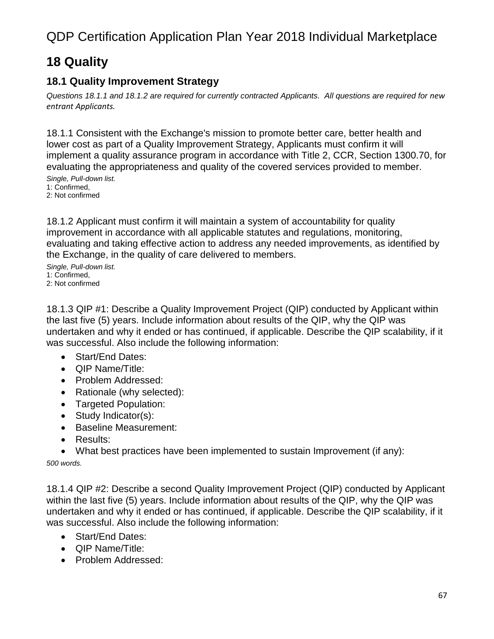### **18 Quality**

#### **18.1 Quality Improvement Strategy**

*Questions 18.1.1 and 18.1.2 are required for currently contracted Applicants. All questions are required for new entrant Applicants.*

18.1.1 Consistent with the Exchange's mission to promote better care, better health and lower cost as part of a Quality Improvement Strategy, Applicants must confirm it will implement a quality assurance program in accordance with Title 2, CCR, Section 1300.70, for evaluating the appropriateness and quality of the covered services provided to member.

*Single, Pull-down list.* 1: Confirmed, 2: Not confirmed

18.1.2 Applicant must confirm it will maintain a system of accountability for quality improvement in accordance with all applicable statutes and regulations, monitoring, evaluating and taking effective action to address any needed improvements, as identified by the Exchange, in the quality of care delivered to members.

*Single, Pull-down list.* 1: Confirmed, 2: Not confirmed

18.1.3 QIP #1: Describe a Quality Improvement Project (QIP) conducted by Applicant within the last five (5) years. Include information about results of the QIP, why the QIP was undertaken and why it ended or has continued, if applicable. Describe the QIP scalability, if it was successful. Also include the following information:

- Start/End Dates:
- QIP Name/Title:
- Problem Addressed:
- Rationale (why selected):
- Targeted Population:
- Study Indicator(s):
- Baseline Measurement:
- Results:
- What best practices have been implemented to sustain Improvement (if any):

*500 words.*

18.1.4 QIP #2: Describe a second Quality Improvement Project (QIP) conducted by Applicant within the last five (5) years. Include information about results of the QIP, why the QIP was undertaken and why it ended or has continued, if applicable. Describe the QIP scalability, if it was successful. Also include the following information:

- Start/End Dates:
- QIP Name/Title:
- Problem Addressed: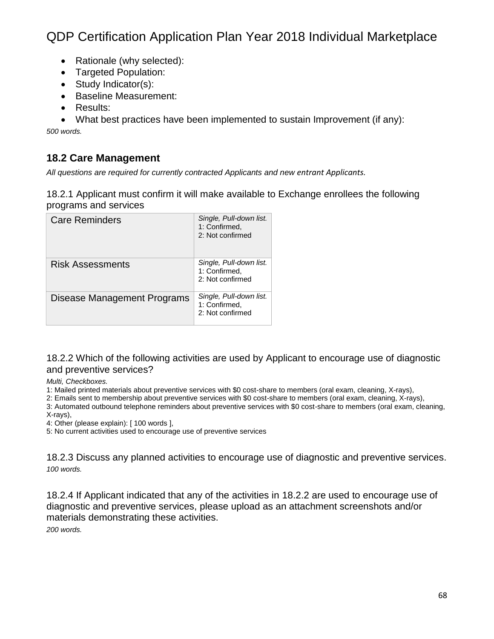- Rationale (why selected):
- Targeted Population:
- Study Indicator(s):
- Baseline Measurement:
- Results:
- What best practices have been implemented to sustain Improvement (if any):

*500 words.*

#### **18.2 Care Management**

*All questions are required for currently contracted Applicants and new entrant Applicants.*

18.2.1 Applicant must confirm it will make available to Exchange enrollees the following programs and services

| <b>Care Reminders</b>       | Single, Pull-down list.<br>1: Confirmed,<br>2: Not confirmed |
|-----------------------------|--------------------------------------------------------------|
| Risk Assessments            | Single, Pull-down list.<br>1: Confirmed,<br>2: Not confirmed |
| Disease Management Programs | Single, Pull-down list.<br>1: Confirmed.<br>2: Not confirmed |

18.2.2 Which of the following activities are used by Applicant to encourage use of diagnostic and preventive services?

*Multi, Checkboxes.*

1: Mailed printed materials about preventive services with \$0 cost-share to members (oral exam, cleaning, X-rays),

2: Emails sent to membership about preventive services with \$0 cost-share to members (oral exam, cleaning, X-rays),

3: Automated outbound telephone reminders about preventive services with \$0 cost-share to members (oral exam, cleaning,

X-rays), 4: Other (please explain): [ 100 words ],

5: No current activities used to encourage use of preventive services

18.2.3 Discuss any planned activities to encourage use of diagnostic and preventive services. *100 words.*

18.2.4 If Applicant indicated that any of the activities in 18.2.2 are used to encourage use of diagnostic and preventive services, please upload as an attachment screenshots and/or materials demonstrating these activities.

*200 words.*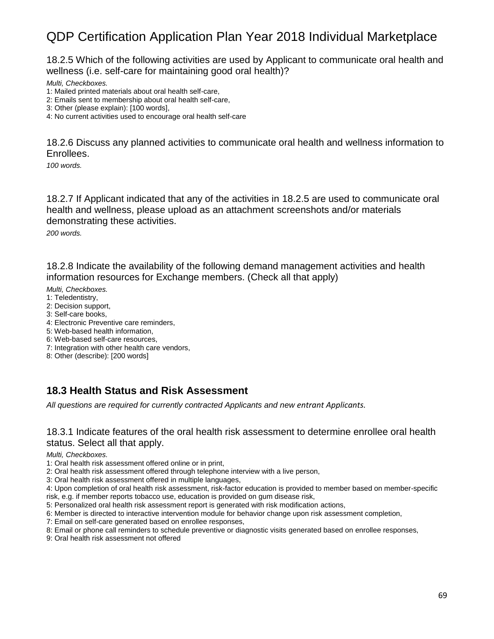18.2.5 Which of the following activities are used by Applicant to communicate oral health and wellness (i.e. self-care for maintaining good oral health)?

*Multi, Checkboxes.*

- 1: Mailed printed materials about oral health self-care,
- 2: Emails sent to membership about oral health self-care,
- 3: Other (please explain): [100 words],

4: No current activities used to encourage oral health self-care

18.2.6 Discuss any planned activities to communicate oral health and wellness information to Enrollees.

*100 words.*

18.2.7 If Applicant indicated that any of the activities in 18.2.5 are used to communicate oral health and wellness, please upload as an attachment screenshots and/or materials demonstrating these activities.

*200 words.*

18.2.8 Indicate the availability of the following demand management activities and health information resources for Exchange members. (Check all that apply)

*Multi, Checkboxes.*

- 1: Teledentistry,
- 2: Decision support,
- 3: Self-care books,
- 4: Electronic Preventive care reminders,
- 5: Web-based health information,
- 6: Web-based self-care resources,
- 7: Integration with other health care vendors,
- 8: Other (describe): [200 words]

#### **18.3 Health Status and Risk Assessment**

*All questions are required for currently contracted Applicants and new entrant Applicants.*

#### 18.3.1 Indicate features of the oral health risk assessment to determine enrollee oral health status. Select all that apply.

*Multi, Checkboxes.*

- 1: Oral health risk assessment offered online or in print,
- 2: Oral health risk assessment offered through telephone interview with a live person,
- 3: Oral health risk assessment offered in multiple languages,
- 4: Upon completion of oral health risk assessment, risk-factor education is provided to member based on member-specific risk, e.g. if member reports tobacco use, education is provided on gum disease risk,
- 5: Personalized oral health risk assessment report is generated with risk modification actions,
- 6: Member is directed to interactive intervention module for behavior change upon risk assessment completion,
- 7: Email on self-care generated based on enrollee responses,
- 8: Email or phone call reminders to schedule preventive or diagnostic visits generated based on enrollee responses,
- 9: Oral health risk assessment not offered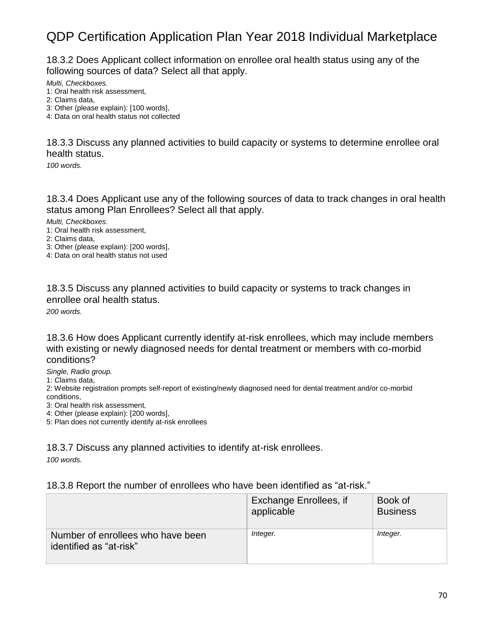18.3.2 Does Applicant collect information on enrollee oral health status using any of the following sources of data? Select all that apply.

*Multi, Checkboxes.*

- 1: Oral health risk assessment,
- 2: Claims data,
- 3: Other (please explain): [100 words],
- 4: Data on oral health status not collected

18.3.3 Discuss any planned activities to build capacity or systems to determine enrollee oral health status.

*100 words.*

18.3.4 Does Applicant use any of the following sources of data to track changes in oral health status among Plan Enrollees? Select all that apply.

*Multi, Checkboxes.*

- 1: Oral health risk assessment,
- 2: Claims data,
- 3: Other (please explain): [200 words],

4: Data on oral health status not used

18.3.5 Discuss any planned activities to build capacity or systems to track changes in enrollee oral health status.

*200 words.*

18.3.6 How does Applicant currently identify at-risk enrollees, which may include members with existing or newly diagnosed needs for dental treatment or members with co-morbid conditions?

*Single, Radio group.*

1: Claims data,

2: Website registration prompts self-report of existing/newly diagnosed need for dental treatment and/or co-morbid conditions,

3: Oral health risk assessment,

4: Other (please explain): [200 words],

5: Plan does not currently identify at-risk enrollees

#### 18.3.7 Discuss any planned activities to identify at-risk enrollees.

*100 words.*

#### 18.3.8 Report the number of enrollees who have been identified as "at-risk."

|                                                              | Exchange Enrollees, if<br>applicable | Book of<br><b>Business</b> |
|--------------------------------------------------------------|--------------------------------------|----------------------------|
| Number of enrollees who have been<br>identified as "at-risk" | Integer.                             | Integer.                   |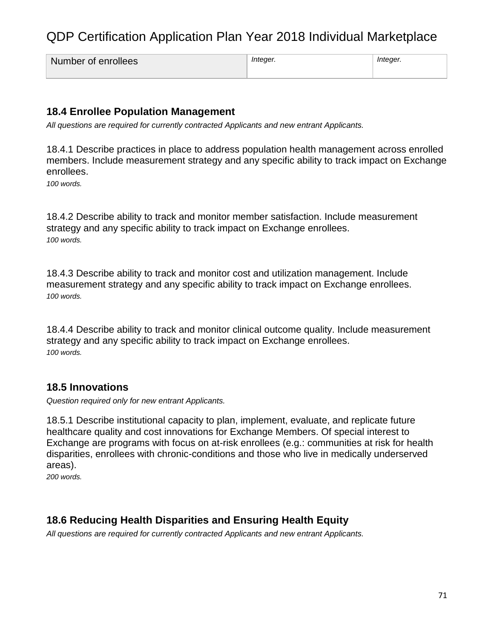| Number of enrollees | Inteaer. | Inteaer. |
|---------------------|----------|----------|
|                     |          |          |

#### **18.4 Enrollee Population Management**

*All questions are required for currently contracted Applicants and new entrant Applicants.*

18.4.1 Describe practices in place to address population health management across enrolled members. Include measurement strategy and any specific ability to track impact on Exchange enrollees.

*100 words.*

18.4.2 Describe ability to track and monitor member satisfaction. Include measurement strategy and any specific ability to track impact on Exchange enrollees. *100 words.*

18.4.3 Describe ability to track and monitor cost and utilization management. Include measurement strategy and any specific ability to track impact on Exchange enrollees. *100 words.*

18.4.4 Describe ability to track and monitor clinical outcome quality. Include measurement strategy and any specific ability to track impact on Exchange enrollees. *100 words.*

#### **18.5 Innovations**

*Question required only for new entrant Applicants.*

18.5.1 Describe institutional capacity to plan, implement, evaluate, and replicate future healthcare quality and cost innovations for Exchange Members. Of special interest to Exchange are programs with focus on at-risk enrollees (e.g.: communities at risk for health disparities, enrollees with chronic-conditions and those who live in medically underserved areas).

*200 words.*

#### **18.6 Reducing Health Disparities and Ensuring Health Equity**

*All questions are required for currently contracted Applicants and new entrant Applicants.*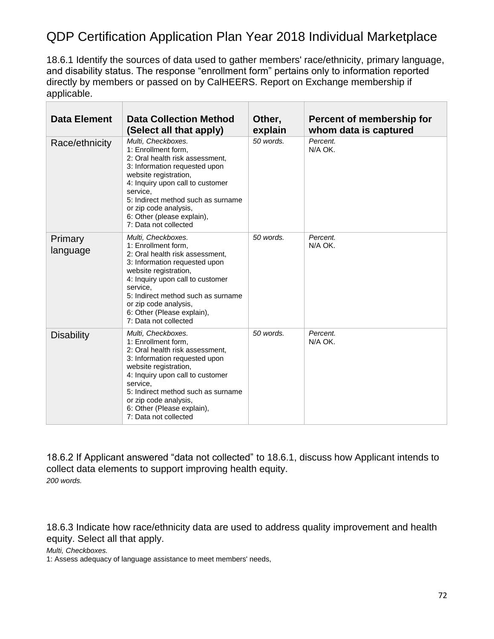18.6.1 Identify the sources of data used to gather members' race/ethnicity, primary language, and disability status. The response "enrollment form" pertains only to information reported directly by members or passed on by CalHEERS. Report on Exchange membership if applicable.

| <b>Data Element</b> | <b>Data Collection Method</b><br>(Select all that apply)                                                                                                                                                                                                                                                     | Other,<br>explain | Percent of membership for<br>whom data is captured |
|---------------------|--------------------------------------------------------------------------------------------------------------------------------------------------------------------------------------------------------------------------------------------------------------------------------------------------------------|-------------------|----------------------------------------------------|
| Race/ethnicity      | Multi, Checkboxes.<br>1: Enrollment form,<br>2: Oral health risk assessment,<br>3: Information requested upon<br>website registration,<br>4: Inquiry upon call to customer<br>service.<br>5: Indirect method such as surname<br>or zip code analysis,<br>6: Other (please explain),<br>7: Data not collected | $50$ words.       | Percent.<br>N/A OK.                                |
| Primary<br>language | Multi, Checkboxes.<br>1: Enrollment form,<br>2: Oral health risk assessment,<br>3: Information requested upon<br>website registration,<br>4: Inquiry upon call to customer<br>service.<br>5: Indirect method such as surname<br>or zip code analysis,<br>6: Other (Please explain),<br>7: Data not collected | 50 words.         | Percent.<br>N/A OK.                                |
| <b>Disability</b>   | Multi, Checkboxes.<br>1: Enrollment form,<br>2: Oral health risk assessment.<br>3: Information requested upon<br>website registration,<br>4: Inquiry upon call to customer<br>service.<br>5: Indirect method such as surname<br>or zip code analysis,<br>6: Other (Please explain),<br>7: Data not collected | 50 words.         | Percent.<br>N/A OK.                                |

18.6.2 If Applicant answered "data not collected" to 18.6.1, discuss how Applicant intends to collect data elements to support improving health equity. *200 words.*

18.6.3 Indicate how race/ethnicity data are used to address quality improvement and health equity. Select all that apply.

*Multi, Checkboxes.*

1: Assess adequacy of language assistance to meet members' needs,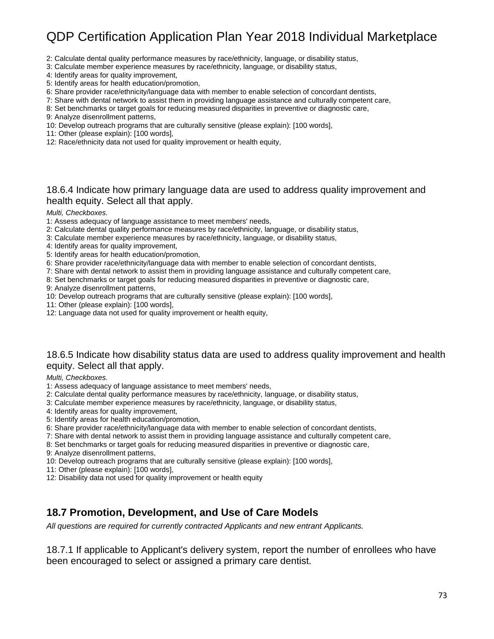- 2: Calculate dental quality performance measures by race/ethnicity, language, or disability status,
- 3: Calculate member experience measures by race/ethnicity, language, or disability status,
- 4: Identify areas for quality improvement,
- 5: Identify areas for health education/promotion,
- 6: Share provider race/ethnicity/language data with member to enable selection of concordant dentists,
- 7: Share with dental network to assist them in providing language assistance and culturally competent care,
- 8: Set benchmarks or target goals for reducing measured disparities in preventive or diagnostic care,
- 9: Analyze disenrollment patterns,
- 10: Develop outreach programs that are culturally sensitive (please explain): [100 words],
- 11: Other (please explain): [100 words],
- 12: Race/ethnicity data not used for quality improvement or health equity,

#### 18.6.4 Indicate how primary language data are used to address quality improvement and health equity. Select all that apply.

#### *Multi, Checkboxes.*

- 1: Assess adequacy of language assistance to meet members' needs,
- 2: Calculate dental quality performance measures by race/ethnicity, language, or disability status,
- 3: Calculate member experience measures by race/ethnicity, language, or disability status,
- 4: Identify areas for quality improvement,
- 5: Identify areas for health education/promotion,
- 6: Share provider race/ethnicity/language data with member to enable selection of concordant dentists,
- 7: Share with dental network to assist them in providing language assistance and culturally competent care,
- 8: Set benchmarks or target goals for reducing measured disparities in preventive or diagnostic care,
- 9: Analyze disenrollment patterns,
- 10: Develop outreach programs that are culturally sensitive (please explain): [100 words],
- 11: Other (please explain): [100 words],
- 12: Language data not used for quality improvement or health equity,

#### 18.6.5 Indicate how disability status data are used to address quality improvement and health equity. Select all that apply.

*Multi, Checkboxes.*

- 1: Assess adequacy of language assistance to meet members' needs,
- 2: Calculate dental quality performance measures by race/ethnicity, language, or disability status,
- 3: Calculate member experience measures by race/ethnicity, language, or disability status,
- 4: Identify areas for quality improvement,
- 5: Identify areas for health education/promotion,
- 6: Share provider race/ethnicity/language data with member to enable selection of concordant dentists,
- 7: Share with dental network to assist them in providing language assistance and culturally competent care,
- 8: Set benchmarks or target goals for reducing measured disparities in preventive or diagnostic care,

9: Analyze disenrollment patterns,

- 10: Develop outreach programs that are culturally sensitive (please explain): [100 words],
- 11: Other (please explain): [100 words],
- 12: Disability data not used for quality improvement or health equity

#### **18.7 Promotion, Development, and Use of Care Models**

*All questions are required for currently contracted Applicants and new entrant Applicants.*

18.7.1 If applicable to Applicant's delivery system, report the number of enrollees who have been encouraged to select or assigned a primary care dentist.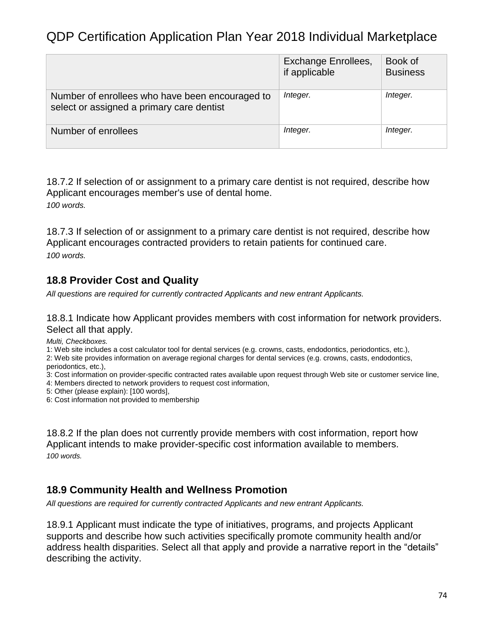|                                                                                              | Exchange Enrollees,<br>if applicable | Book of<br><b>Business</b> |
|----------------------------------------------------------------------------------------------|--------------------------------------|----------------------------|
| Number of enrollees who have been encouraged to<br>select or assigned a primary care dentist | Integer.                             | Integer.                   |
| Number of enrollees                                                                          | Integer.                             | Integer.                   |

18.7.2 If selection of or assignment to a primary care dentist is not required, describe how Applicant encourages member's use of dental home. *100 words.*

18.7.3 If selection of or assignment to a primary care dentist is not required, describe how Applicant encourages contracted providers to retain patients for continued care. *100 words.*

### **18.8 Provider Cost and Quality**

*All questions are required for currently contracted Applicants and new entrant Applicants.*

18.8.1 Indicate how Applicant provides members with cost information for network providers. Select all that apply.

*Multi, Checkboxes.*

1: Web site includes a cost calculator tool for dental services (e.g. crowns, casts, endodontics, periodontics, etc.),

2: Web site provides information on average regional charges for dental services (e.g. crowns, casts, endodontics, periodontics, etc.),

3: Cost information on provider-specific contracted rates available upon request through Web site or customer service line,

4: Members directed to network providers to request cost information,

5: Other (please explain): [100 words],

6: Cost information not provided to membership

18.8.2 If the plan does not currently provide members with cost information, report how Applicant intends to make provider-specific cost information available to members. *100 words.*

### **18.9 Community Health and Wellness Promotion**

*All questions are required for currently contracted Applicants and new entrant Applicants.*

18.9.1 Applicant must indicate the type of initiatives, programs, and projects Applicant supports and describe how such activities specifically promote community health and/or address health disparities. Select all that apply and provide a narrative report in the "details" describing the activity.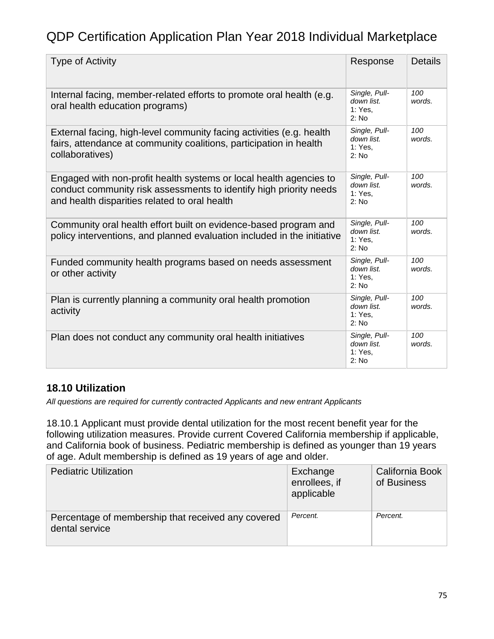| <b>Type of Activity</b>                                                                                                                                                                   | Response                                        | <b>Details</b>             |
|-------------------------------------------------------------------------------------------------------------------------------------------------------------------------------------------|-------------------------------------------------|----------------------------|
| Internal facing, member-related efforts to promote oral health (e.g.<br>oral health education programs)                                                                                   | Single, Pull-<br>down list.<br>1: Yes.<br>2: No | 100<br>words.              |
| External facing, high-level community facing activities (e.g. health<br>fairs, attendance at community coalitions, participation in health<br>collaboratives)                             | Single, Pull-<br>down list.<br>1: Yes.<br>2: No | 100<br>words.              |
| Engaged with non-profit health systems or local health agencies to<br>conduct community risk assessments to identify high priority needs<br>and health disparities related to oral health | Single, Pull-<br>down list.<br>1: Yes.<br>2: No | 100<br>words.              |
| Community oral health effort built on evidence-based program and<br>policy interventions, and planned evaluation included in the initiative                                               | Single, Pull-<br>down list.<br>1: Yes.<br>2: No | 100<br>words.              |
| Funded community health programs based on needs assessment<br>or other activity                                                                                                           | Single, Pull-<br>down list.<br>1: Yes.<br>2: No | 100 <sub>1</sub><br>words. |
| Plan is currently planning a community oral health promotion<br>activity                                                                                                                  | Single, Pull-<br>down list.<br>1: Yes.<br>2: No | 100<br>words.              |
| Plan does not conduct any community oral health initiatives                                                                                                                               | Single, Pull-<br>down list.<br>1: Yes.<br>2: No | 100<br>words.              |

### **18.10 Utilization**

*All questions are required for currently contracted Applicants and new entrant Applicants*

18.10.1 Applicant must provide dental utilization for the most recent benefit year for the following utilization measures. Provide current Covered California membership if applicable, and California book of business. Pediatric membership is defined as younger than 19 years of age. Adult membership is defined as 19 years of age and older.

| <b>Pediatric Utilization</b>                                         | Exchange<br>enrollees, if<br>applicable | California Book<br>of Business |
|----------------------------------------------------------------------|-----------------------------------------|--------------------------------|
| Percentage of membership that received any covered<br>dental service | Percent.                                | Percent.                       |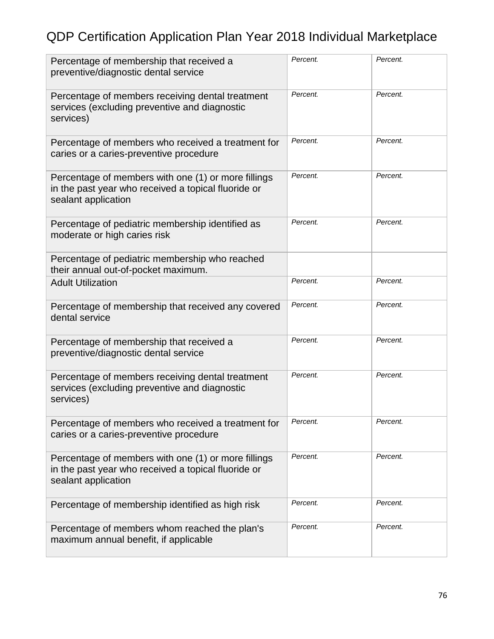| Percentage of membership that received a<br>preventive/diagnostic dental service                                                  | Percent. | Percent. |
|-----------------------------------------------------------------------------------------------------------------------------------|----------|----------|
| Percentage of members receiving dental treatment<br>services (excluding preventive and diagnostic<br>services)                    | Percent. | Percent. |
| Percentage of members who received a treatment for<br>caries or a caries-preventive procedure                                     | Percent. | Percent. |
| Percentage of members with one (1) or more fillings<br>in the past year who received a topical fluoride or<br>sealant application | Percent. | Percent. |
| Percentage of pediatric membership identified as<br>moderate or high caries risk                                                  | Percent. | Percent. |
| Percentage of pediatric membership who reached<br>their annual out-of-pocket maximum.                                             |          |          |
| <b>Adult Utilization</b>                                                                                                          | Percent. | Percent. |
| Percentage of membership that received any covered<br>dental service                                                              | Percent. | Percent. |
| Percentage of membership that received a<br>preventive/diagnostic dental service                                                  | Percent. | Percent. |
| Percentage of members receiving dental treatment<br>services (excluding preventive and diagnostic<br>services)                    | Percent. | Percent. |
| Percentage of members who received a treatment for<br>caries or a caries-preventive procedure                                     | Percent. | Percent. |
| Percentage of members with one (1) or more fillings<br>in the past year who received a topical fluoride or<br>sealant application | Percent. | Percent. |
| Percentage of membership identified as high risk                                                                                  | Percent. | Percent. |
| Percentage of members whom reached the plan's<br>maximum annual benefit, if applicable                                            | Percent. | Percent. |